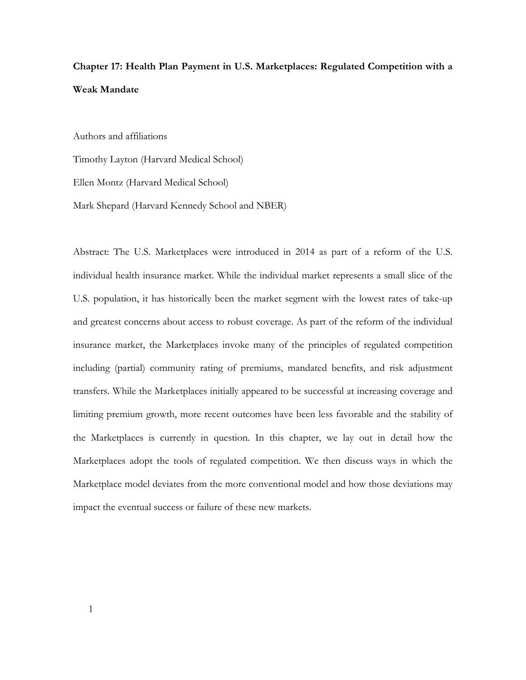# **Chapter 17: Health Plan Payment in U.S. Marketplaces: Regulated Competition with a Weak Mandate**

Authors and affiliations

Timothy Layton (Harvard Medical School)

Ellen Montz (Harvard Medical School)

Mark Shepard (Harvard Kennedy School and NBER)

Abstract: The U.S. Marketplaces were introduced in 2014 as part of a reform of the U.S. individual health insurance market. While the individual market represents a small slice of the U.S. population, it has historically been the market segment with the lowest rates of take-up and greatest concerns about access to robust coverage. As part of the reform of the individual insurance market, the Marketplaces invoke many of the principles of regulated competition including (partial) community rating of premiums, mandated benefits, and risk adjustment transfers. While the Marketplaces initially appeared to be successful at increasing coverage and limiting premium growth, more recent outcomes have been less favorable and the stability of the Marketplaces is currently in question. In this chapter, we lay out in detail how the Marketplaces adopt the tools of regulated competition. We then discuss ways in which the Marketplace model deviates from the more conventional model and how those deviations may impact the eventual success or failure of these new markets.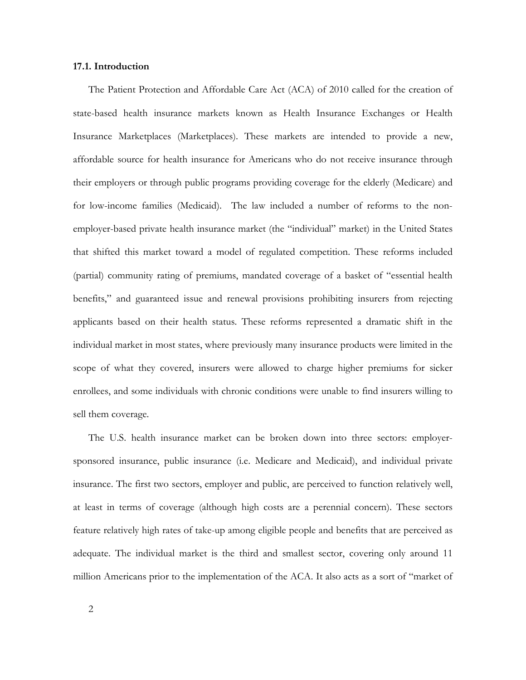# **17.1. Introduction**

The Patient Protection and Affordable Care Act (ACA) of 2010 called for the creation of state-based health insurance markets known as Health Insurance Exchanges or Health Insurance Marketplaces (Marketplaces). These markets are intended to provide a new, affordable source for health insurance for Americans who do not receive insurance through their employers or through public programs providing coverage for the elderly (Medicare) and for low-income families (Medicaid). The law included a number of reforms to the nonemployer-based private health insurance market (the "individual" market) in the United States that shifted this market toward a model of regulated competition. These reforms included (partial) community rating of premiums, mandated coverage of a basket of "essential health benefits," and guaranteed issue and renewal provisions prohibiting insurers from rejecting applicants based on their health status. These reforms represented a dramatic shift in the individual market in most states, where previously many insurance products were limited in the scope of what they covered, insurers were allowed to charge higher premiums for sicker enrollees, and some individuals with chronic conditions were unable to find insurers willing to sell them coverage.

The U.S. health insurance market can be broken down into three sectors: employersponsored insurance, public insurance (i.e. Medicare and Medicaid), and individual private insurance. The first two sectors, employer and public, are perceived to function relatively well, at least in terms of coverage (although high costs are a perennial concern). These sectors feature relatively high rates of take-up among eligible people and benefits that are perceived as adequate. The individual market is the third and smallest sector, covering only around 11 million Americans prior to the implementation of the ACA. It also acts as a sort of "market of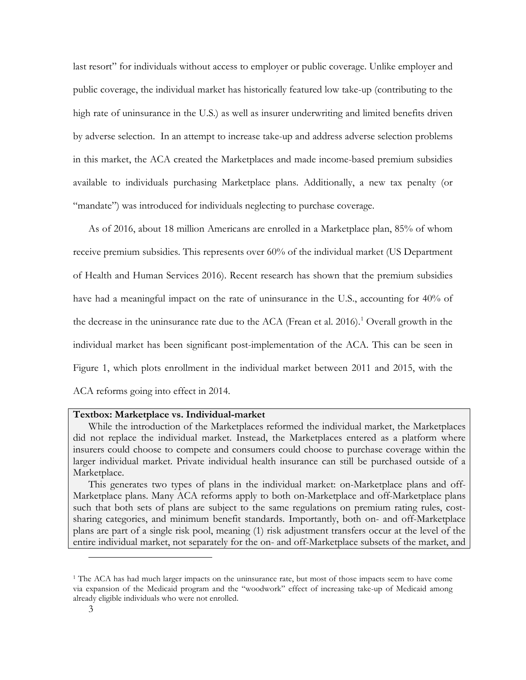last resort" for individuals without access to employer or public coverage. Unlike employer and public coverage, the individual market has historically featured low take-up (contributing to the high rate of uninsurance in the U.S.) as well as insurer underwriting and limited benefits driven by adverse selection. In an attempt to increase take-up and address adverse selection problems in this market, the ACA created the Marketplaces and made income-based premium subsidies available to individuals purchasing Marketplace plans. Additionally, a new tax penalty (or "mandate") was introduced for individuals neglecting to purchase coverage.

As of 2016, about 18 million Americans are enrolled in a Marketplace plan, 85% of whom receive premium subsidies. This represents over 60% of the individual market (US Department of Health and Human Services 2016). Recent research has shown that the premium subsidies have had a meaningful impact on the rate of uninsurance in the U.S., accounting for 40% of the decrease in the uninsurance rate due to the ACA (Frean et al. 2016). [1](#page-2-0) Overall growth in the individual market has been significant post-implementation of the ACA. This can be seen in Figure 1, which plots enrollment in the individual market between 2011 and 2015, with the ACA reforms going into effect in 2014.

### **Textbox: Marketplace vs. Individual-market**

While the introduction of the Marketplaces reformed the individual market, the Marketplaces did not replace the individual market. Instead, the Marketplaces entered as a platform where insurers could choose to compete and consumers could choose to purchase coverage within the larger individual market. Private individual health insurance can still be purchased outside of a Marketplace.

This generates two types of plans in the individual market: on-Marketplace plans and off-Marketplace plans. Many ACA reforms apply to both on-Marketplace and off-Marketplace plans such that both sets of plans are subject to the same regulations on premium rating rules, costsharing categories, and minimum benefit standards. Importantly, both on- and off-Marketplace plans are part of a single risk pool, meaning (1) risk adjustment transfers occur at the level of the entire individual market, not separately for the on- and off-Marketplace subsets of the market, and

-

<span id="page-2-0"></span><sup>&</sup>lt;sup>1</sup> The ACA has had much larger impacts on the uninsurance rate, but most of those impacts seem to have come via expansion of the Medicaid program and the "woodwork" effect of increasing take-up of Medicaid among already eligible individuals who were not enrolled.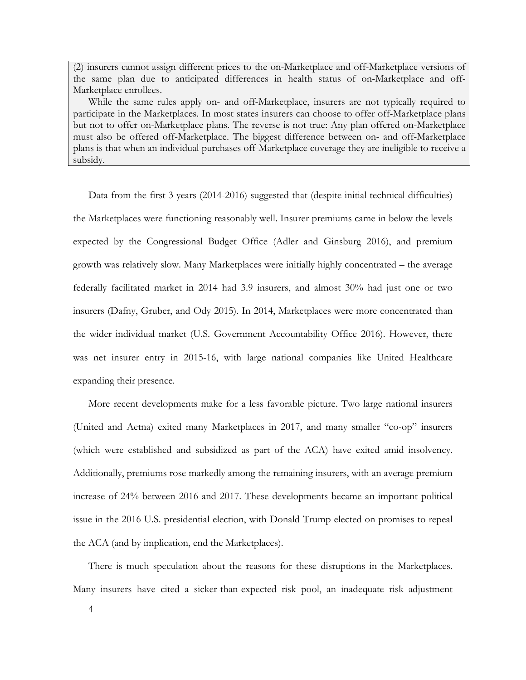(2) insurers cannot assign different prices to the on-Marketplace and off-Marketplace versions of the same plan due to anticipated differences in health status of on-Marketplace and off-Marketplace enrollees.

While the same rules apply on- and off-Marketplace, insurers are not typically required to participate in the Marketplaces. In most states insurers can choose to offer off-Marketplace plans but not to offer on-Marketplace plans. The reverse is not true: Any plan offered on-Marketplace must also be offered off-Marketplace. The biggest difference between on- and off-Marketplace plans is that when an individual purchases off-Marketplace coverage they are ineligible to receive a subsidy.

Data from the first 3 years (2014-2016) suggested that (despite initial technical difficulties) the Marketplaces were functioning reasonably well. Insurer premiums came in below the levels expected by the Congressional Budget Office (Adler and Ginsburg 2016), and premium growth was relatively slow. Many Marketplaces were initially highly concentrated – the average federally facilitated market in 2014 had 3.9 insurers, and almost 30% had just one or two insurers (Dafny, Gruber, and Ody 2015). In 2014, Marketplaces were more concentrated than the wider individual market (U.S. Government Accountability Office 2016). However, there was net insurer entry in 2015-16, with large national companies like United Healthcare expanding their presence.

More recent developments make for a less favorable picture. Two large national insurers (United and Aetna) exited many Marketplaces in 2017, and many smaller "co-op" insurers (which were established and subsidized as part of the ACA) have exited amid insolvency. Additionally, premiums rose markedly among the remaining insurers, with an average premium increase of 24% between 2016 and 2017. These developments became an important political issue in the 2016 U.S. presidential election, with Donald Trump elected on promises to repeal the ACA (and by implication, end the Marketplaces).

There is much speculation about the reasons for these disruptions in the Marketplaces. Many insurers have cited a sicker-than-expected risk pool, an inadequate risk adjustment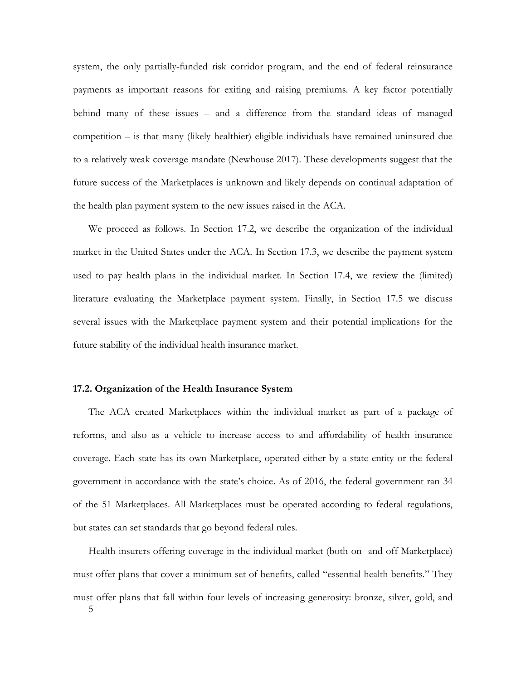system, the only partially-funded risk corridor program, and the end of federal reinsurance payments as important reasons for exiting and raising premiums. A key factor potentially behind many of these issues – and a difference from the standard ideas of managed competition – is that many (likely healthier) eligible individuals have remained uninsured due to a relatively weak coverage mandate (Newhouse 2017). These developments suggest that the future success of the Marketplaces is unknown and likely depends on continual adaptation of the health plan payment system to the new issues raised in the ACA.

We proceed as follows. In Section 17.2, we describe the organization of the individual market in the United States under the ACA. In Section 17.3, we describe the payment system used to pay health plans in the individual market. In Section 17.4, we review the (limited) literature evaluating the Marketplace payment system. Finally, in Section 17.5 we discuss several issues with the Marketplace payment system and their potential implications for the future stability of the individual health insurance market.

### **17.2. Organization of the Health Insurance System**

The ACA created Marketplaces within the individual market as part of a package of reforms, and also as a vehicle to increase access to and affordability of health insurance coverage. Each state has its own Marketplace, operated either by a state entity or the federal government in accordance with the state's choice. As of 2016, the federal government ran 34 of the 51 Marketplaces. All Marketplaces must be operated according to federal regulations, but states can set standards that go beyond federal rules.

5 Health insurers offering coverage in the individual market (both on- and off-Marketplace) must offer plans that cover a minimum set of benefits, called "essential health benefits." They must offer plans that fall within four levels of increasing generosity: bronze, silver, gold, and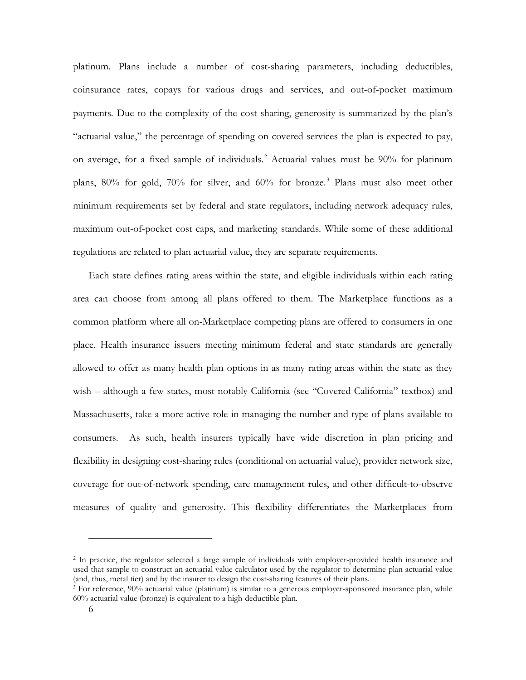platinum. Plans include a number of cost-sharing parameters, including deductibles, coinsurance rates, copays for various drugs and services, and out-of-pocket maximum payments. Due to the complexity of the cost sharing, generosity is summarized by the plan's "actuarial value," the percentage of spending on covered services the plan is expected to pay, on average, for a fixed sample of individuals. [2](#page-5-0) Actuarial values must be 90% for platinum plans, 80% for gold, 70% for silver, and 60% for bronze.[3](#page-5-1) Plans must also meet other minimum requirements set by federal and state regulators, including network adequacy rules, maximum out-of-pocket cost caps, and marketing standards. While some of these additional regulations are related to plan actuarial value, they are separate requirements.

Each state defines rating areas within the state, and eligible individuals within each rating area can choose from among all plans offered to them. The Marketplace functions as a common platform where all on-Marketplace competing plans are offered to consumers in one place. Health insurance issuers meeting minimum federal and state standards are generally allowed to offer as many health plan options in as many rating areas within the state as they wish – although a few states, most notably California (see "Covered California" textbox) and Massachusetts, take a more active role in managing the number and type of plans available to consumers. As such, health insurers typically have wide discretion in plan pricing and flexibility in designing cost-sharing rules (conditional on actuarial value), provider network size, coverage for out-of-network spending, care management rules, and other difficult-to-observe measures of quality and generosity. This flexibility differentiates the Marketplaces from

<u>.</u>

<span id="page-5-0"></span><sup>2</sup> In practice, the regulator selected a large sample of individuals with employer-provided health insurance and used that sample to construct an actuarial value calculator used by the regulator to determine plan actuarial value (and, thus, metal tier) and by the insurer to design the cost-sharing features of their plans.

<span id="page-5-1"></span> $3$  For reference, 90% actuarial value (platinum) is similar to a generous employer-sponsored insurance plan, while 60% actuarial value (bronze) is equivalent to a high-deductible plan.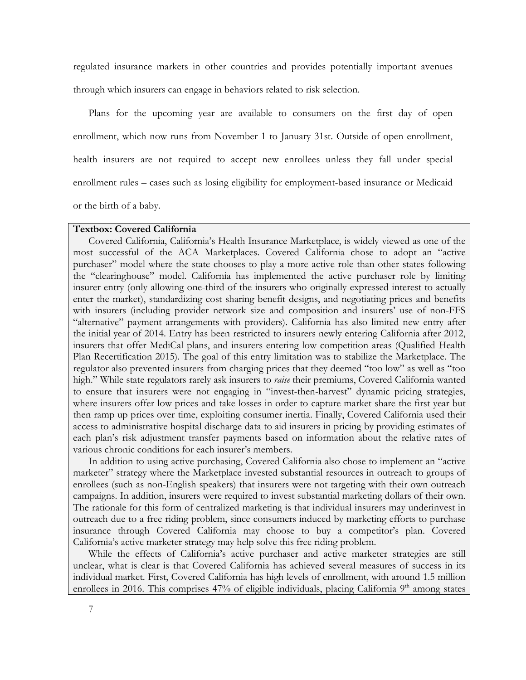regulated insurance markets in other countries and provides potentially important avenues through which insurers can engage in behaviors related to risk selection.

Plans for the upcoming year are available to consumers on the first day of open enrollment, which now runs from November 1 to January 31st. Outside of open enrollment, health insurers are not required to accept new enrollees unless they fall under special enrollment rules – cases such as losing eligibility for employment-based insurance or Medicaid or the birth of a baby.

# **Textbox: Covered California**

Covered California, California's Health Insurance Marketplace, is widely viewed as one of the most successful of the ACA Marketplaces. Covered California chose to adopt an "active purchaser" model where the state chooses to play a more active role than other states following the "clearinghouse" model. California has implemented the active purchaser role by limiting insurer entry (only allowing one-third of the insurers who originally expressed interest to actually enter the market), standardizing cost sharing benefit designs, and negotiating prices and benefits with insurers (including provider network size and composition and insurers' use of non-FFS "alternative" payment arrangements with providers). California has also limited new entry after the initial year of 2014. Entry has been restricted to insurers newly entering California after 2012, insurers that offer MediCal plans, and insurers entering low competition areas (Qualified Health Plan Recertification 2015). The goal of this entry limitation was to stabilize the Marketplace. The regulator also prevented insurers from charging prices that they deemed "too low" as well as "too high." While state regulators rarely ask insurers to *raise* their premiums, Covered California wanted to ensure that insurers were not engaging in "invest-then-harvest" dynamic pricing strategies, where insurers offer low prices and take losses in order to capture market share the first year but then ramp up prices over time, exploiting consumer inertia. Finally, Covered California used their access to administrative hospital discharge data to aid insurers in pricing by providing estimates of each plan's risk adjustment transfer payments based on information about the relative rates of various chronic conditions for each insurer's members.

In addition to using active purchasing, Covered California also chose to implement an "active marketer" strategy where the Marketplace invested substantial resources in outreach to groups of enrollees (such as non-English speakers) that insurers were not targeting with their own outreach campaigns. In addition, insurers were required to invest substantial marketing dollars of their own. The rationale for this form of centralized marketing is that individual insurers may underinvest in outreach due to a free riding problem, since consumers induced by marketing efforts to purchase insurance through Covered California may choose to buy a competitor's plan. Covered California's active marketer strategy may help solve this free riding problem.

While the effects of California's active purchaser and active marketer strategies are still unclear, what is clear is that Covered California has achieved several measures of success in its individual market. First, Covered California has high levels of enrollment, with around 1.5 million enrollees in 2016. This comprises 47% of eligible individuals, placing California 9<sup>th</sup> among states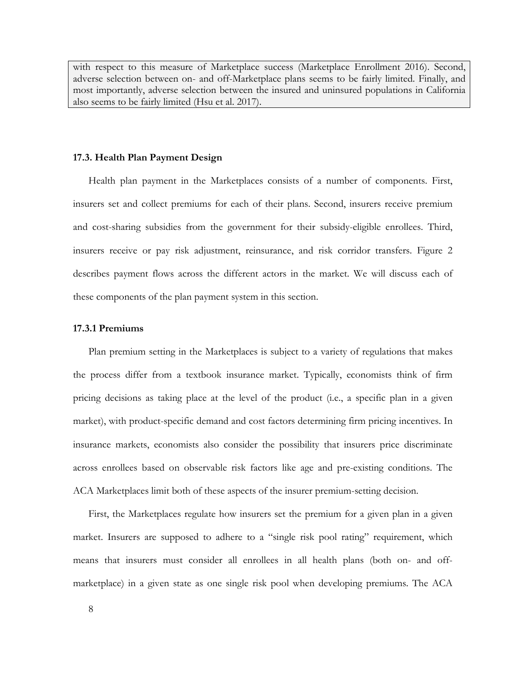with respect to this measure of Marketplace success (Marketplace Enrollment 2016). Second, adverse selection between on- and off-Marketplace plans seems to be fairly limited. Finally, and most importantly, adverse selection between the insured and uninsured populations in California also seems to be fairly limited (Hsu et al. 2017).

### **17.3. Health Plan Payment Design**

Health plan payment in the Marketplaces consists of a number of components. First, insurers set and collect premiums for each of their plans. Second, insurers receive premium and cost-sharing subsidies from the government for their subsidy-eligible enrollees. Third, insurers receive or pay risk adjustment, reinsurance, and risk corridor transfers. Figure 2 describes payment flows across the different actors in the market. We will discuss each of these components of the plan payment system in this section.

### **17.3.1 Premiums**

Plan premium setting in the Marketplaces is subject to a variety of regulations that makes the process differ from a textbook insurance market. Typically, economists think of firm pricing decisions as taking place at the level of the product (i.e., a specific plan in a given market), with product-specific demand and cost factors determining firm pricing incentives. In insurance markets, economists also consider the possibility that insurers price discriminate across enrollees based on observable risk factors like age and pre-existing conditions. The ACA Marketplaces limit both of these aspects of the insurer premium-setting decision.

First, the Marketplaces regulate how insurers set the premium for a given plan in a given market. Insurers are supposed to adhere to a "single risk pool rating" requirement, which means that insurers must consider all enrollees in all health plans (both on- and offmarketplace) in a given state as one single risk pool when developing premiums. The ACA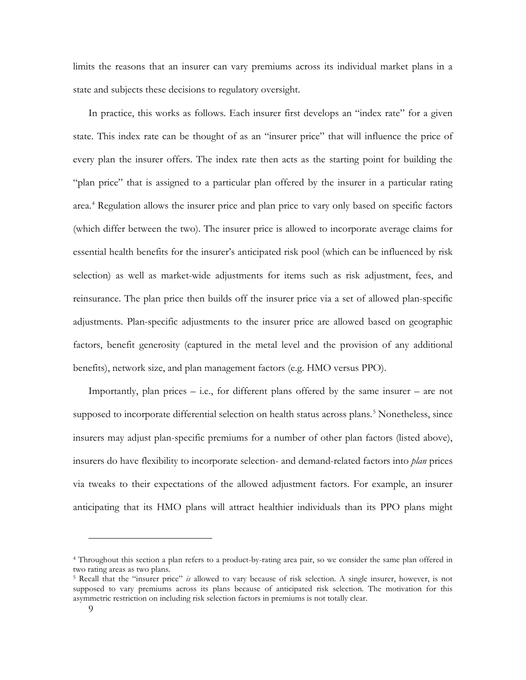limits the reasons that an insurer can vary premiums across its individual market plans in a state and subjects these decisions to regulatory oversight.

In practice, this works as follows. Each insurer first develops an "index rate" for a given state. This index rate can be thought of as an "insurer price" that will influence the price of every plan the insurer offers. The index rate then acts as the starting point for building the "plan price" that is assigned to a particular plan offered by the insurer in a particular rating area. [4](#page-8-0) Regulation allows the insurer price and plan price to vary only based on specific factors (which differ between the two). The insurer price is allowed to incorporate average claims for essential health benefits for the insurer's anticipated risk pool (which can be influenced by risk selection) as well as market-wide adjustments for items such as risk adjustment, fees, and reinsurance. The plan price then builds off the insurer price via a set of allowed plan-specific adjustments. Plan-specific adjustments to the insurer price are allowed based on geographic factors, benefit generosity (captured in the metal level and the provision of any additional benefits), network size, and plan management factors (e.g. HMO versus PPO).

Importantly, plan prices – i.e., for different plans offered by the same insurer – are not supposed to incorporate differential selection on health status across plans.<sup>[5](#page-8-1)</sup> Nonetheless, since insurers may adjust plan-specific premiums for a number of other plan factors (listed above), insurers do have flexibility to incorporate selection- and demand-related factors into *plan* prices via tweaks to their expectations of the allowed adjustment factors. For example, an insurer anticipating that its HMO plans will attract healthier individuals than its PPO plans might

<u>.</u>

<span id="page-8-0"></span><sup>4</sup> Throughout this section a plan refers to a product-by-rating area pair, so we consider the same plan offered in two rating areas as two plans.

<span id="page-8-1"></span><sup>5</sup> Recall that the "insurer price" *is* allowed to vary because of risk selection. A single insurer, however, is not supposed to vary premiums across its plans because of anticipated risk selection. The motivation for this asymmetric restriction on including risk selection factors in premiums is not totally clear.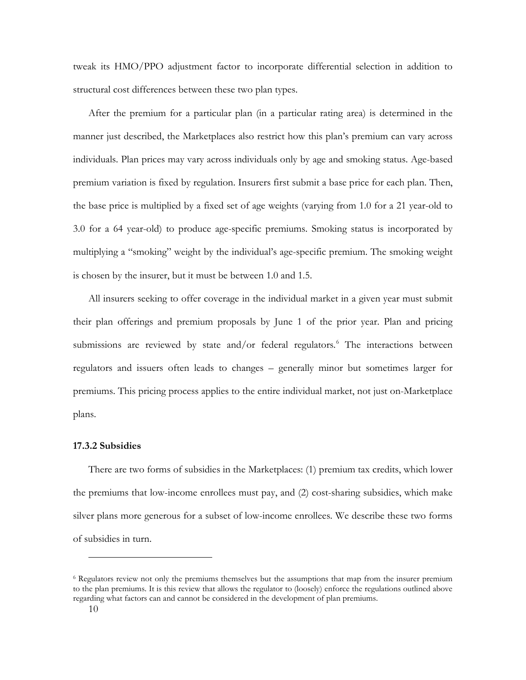tweak its HMO/PPO adjustment factor to incorporate differential selection in addition to structural cost differences between these two plan types.

After the premium for a particular plan (in a particular rating area) is determined in the manner just described, the Marketplaces also restrict how this plan's premium can vary across individuals. Plan prices may vary across individuals only by age and smoking status. Age-based premium variation is fixed by regulation. Insurers first submit a base price for each plan. Then, the base price is multiplied by a fixed set of age weights (varying from 1.0 for a 21 year-old to 3.0 for a 64 year-old) to produce age-specific premiums. Smoking status is incorporated by multiplying a "smoking" weight by the individual's age-specific premium. The smoking weight is chosen by the insurer, but it must be between 1.0 and 1.5.

All insurers seeking to offer coverage in the individual market in a given year must submit their plan offerings and premium proposals by June 1 of the prior year. Plan and pricing submissions are reviewed by state and/or federal regulators. [6](#page-9-0) The interactions between regulators and issuers often leads to changes – generally minor but sometimes larger for premiums. This pricing process applies to the entire individual market, not just on-Marketplace plans.

#### **17.3.2 Subsidies**

There are two forms of subsidies in the Marketplaces: (1) premium tax credits, which lower the premiums that low-income enrollees must pay, and (2) cost-sharing subsidies, which make silver plans more generous for a subset of low-income enrollees. We describe these two forms of subsidies in turn.

-

<span id="page-9-0"></span><sup>&</sup>lt;sup>6</sup> Regulators review not only the premiums themselves but the assumptions that map from the insurer premium to the plan premiums. It is this review that allows the regulator to (loosely) enforce the regulations outlined above regarding what factors can and cannot be considered in the development of plan premiums.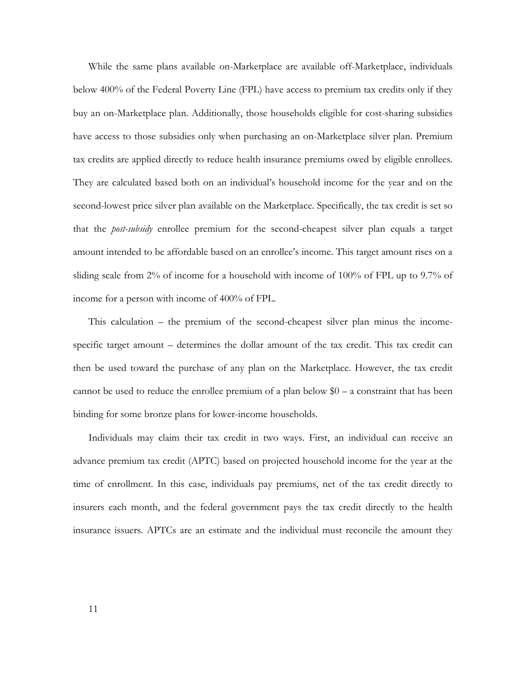While the same plans available on-Marketplace are available off-Marketplace, individuals below 400% of the Federal Poverty Line (FPL) have access to premium tax credits only if they buy an on-Marketplace plan. Additionally, those households eligible for cost-sharing subsidies have access to those subsidies only when purchasing an on-Marketplace silver plan. Premium tax credits are applied directly to reduce health insurance premiums owed by eligible enrollees. They are calculated based both on an individual's household income for the year and on the second-lowest price silver plan available on the Marketplace. Specifically, the tax credit is set so that the *post-subsidy* enrollee premium for the second-cheapest silver plan equals a target amount intended to be affordable based on an enrollee's income. This target amount rises on a sliding scale from 2% of income for a household with income of 100% of FPL up to 9.7% of income for a person with income of 400% of FPL.

This calculation – the premium of the second-cheapest silver plan minus the incomespecific target amount – determines the dollar amount of the tax credit. This tax credit can then be used toward the purchase of any plan on the Marketplace. However, the tax credit cannot be used to reduce the enrollee premium of a plan below  $$0 - a$  constraint that has been binding for some bronze plans for lower-income households.

Individuals may claim their tax credit in two ways. First, an individual can receive an advance premium tax credit (APTC) based on projected household income for the year at the time of enrollment. In this case, individuals pay premiums, net of the tax credit directly to insurers each month, and the federal government pays the tax credit directly to the health insurance issuers. APTCs are an estimate and the individual must reconcile the amount they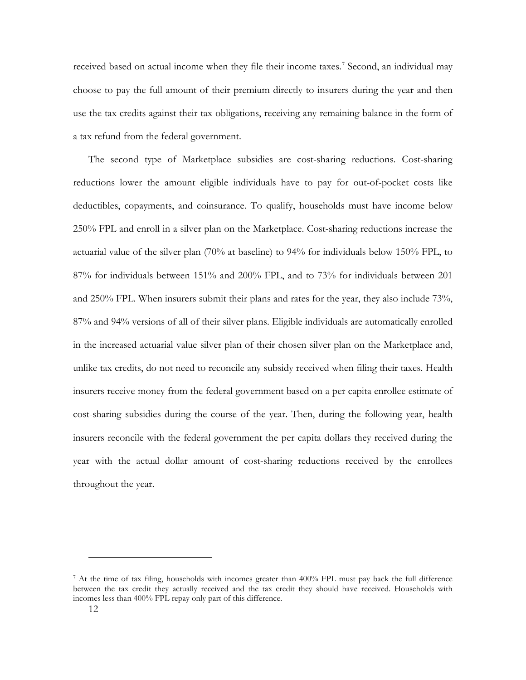received based on actual income when they file their income taxes.<sup>[7](#page-11-0)</sup> Second, an individual may choose to pay the full amount of their premium directly to insurers during the year and then use the tax credits against their tax obligations, receiving any remaining balance in the form of a tax refund from the federal government.

The second type of Marketplace subsidies are cost-sharing reductions. Cost-sharing reductions lower the amount eligible individuals have to pay for out-of-pocket costs like deductibles, copayments, and coinsurance. To qualify, households must have income below 250% FPL and enroll in a silver plan on the Marketplace. Cost-sharing reductions increase the actuarial value of the silver plan (70% at baseline) to 94% for individuals below 150% FPL, to 87% for individuals between 151% and 200% FPL, and to 73% for individuals between 201 and 250% FPL. When insurers submit their plans and rates for the year, they also include 73%, 87% and 94% versions of all of their silver plans. Eligible individuals are automatically enrolled in the increased actuarial value silver plan of their chosen silver plan on the Marketplace and, unlike tax credits, do not need to reconcile any subsidy received when filing their taxes. Health insurers receive money from the federal government based on a per capita enrollee estimate of cost-sharing subsidies during the course of the year. Then, during the following year, health insurers reconcile with the federal government the per capita dollars they received during the year with the actual dollar amount of cost-sharing reductions received by the enrollees throughout the year.

-

<span id="page-11-0"></span><sup>7</sup> At the time of tax filing, households with incomes greater than 400% FPL must pay back the full difference between the tax credit they actually received and the tax credit they should have received. Households with incomes less than 400% FPL repay only part of this difference.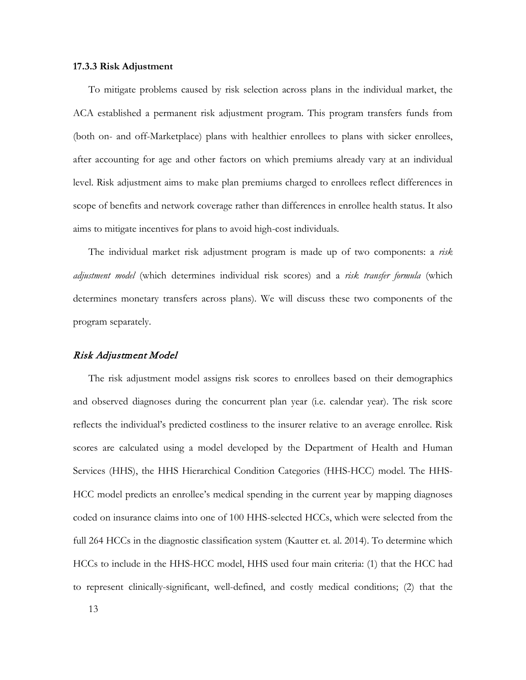### **17.3.3 Risk Adjustment**

To mitigate problems caused by risk selection across plans in the individual market, the ACA established a permanent risk adjustment program. This program transfers funds from (both on- and off-Marketplace) plans with healthier enrollees to plans with sicker enrollees, after accounting for age and other factors on which premiums already vary at an individual level. Risk adjustment aims to make plan premiums charged to enrollees reflect differences in scope of benefits and network coverage rather than differences in enrollee health status. It also aims to mitigate incentives for plans to avoid high-cost individuals.

The individual market risk adjustment program is made up of two components: a *risk adjustment model* (which determines individual risk scores) and a *risk transfer formula* (which determines monetary transfers across plans). We will discuss these two components of the program separately.

### Risk Adjustment Model

The risk adjustment model assigns risk scores to enrollees based on their demographics and observed diagnoses during the concurrent plan year (i.e. calendar year). The risk score reflects the individual's predicted costliness to the insurer relative to an average enrollee. Risk scores are calculated using a model developed by the Department of Health and Human Services (HHS), the HHS Hierarchical Condition Categories (HHS-HCC) model. The HHS-HCC model predicts an enrollee's medical spending in the current year by mapping diagnoses coded on insurance claims into one of 100 HHS-selected HCCs, which were selected from the full 264 HCCs in the diagnostic classification system (Kautter et. al. 2014). To determine which HCCs to include in the HHS-HCC model, HHS used four main criteria: (1) that the HCC had to represent clinically-significant, well-defined, and costly medical conditions; (2) that the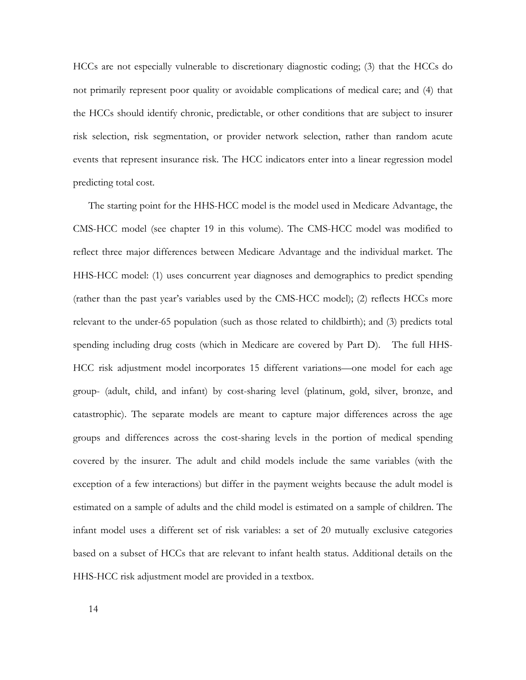HCCs are not especially vulnerable to discretionary diagnostic coding; (3) that the HCCs do not primarily represent poor quality or avoidable complications of medical care; and (4) that the HCCs should identify chronic, predictable, or other conditions that are subject to insurer risk selection, risk segmentation, or provider network selection, rather than random acute events that represent insurance risk. The HCC indicators enter into a linear regression model predicting total cost.

The starting point for the HHS-HCC model is the model used in Medicare Advantage, the CMS-HCC model (see chapter 19 in this volume). The CMS-HCC model was modified to reflect three major differences between Medicare Advantage and the individual market. The HHS-HCC model: (1) uses concurrent year diagnoses and demographics to predict spending (rather than the past year's variables used by the CMS-HCC model); (2) reflects HCCs more relevant to the under-65 population (such as those related to childbirth); and (3) predicts total spending including drug costs (which in Medicare are covered by Part D). The full HHS-HCC risk adjustment model incorporates 15 different variations—one model for each age group- (adult, child, and infant) by cost-sharing level (platinum, gold, silver, bronze, and catastrophic). The separate models are meant to capture major differences across the age groups and differences across the cost-sharing levels in the portion of medical spending covered by the insurer. The adult and child models include the same variables (with the exception of a few interactions) but differ in the payment weights because the adult model is estimated on a sample of adults and the child model is estimated on a sample of children. The infant model uses a different set of risk variables: a set of 20 mutually exclusive categories based on a subset of HCCs that are relevant to infant health status. Additional details on the HHS-HCC risk adjustment model are provided in a textbox.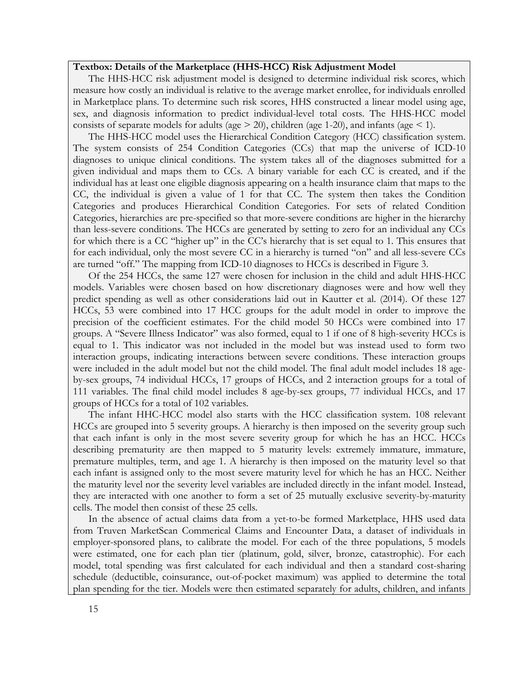# **Textbox: Details of the Marketplace (HHS-HCC) Risk Adjustment Model**

The HHS-HCC risk adjustment model is designed to determine individual risk scores, which measure how costly an individual is relative to the average market enrollee, for individuals enrolled in Marketplace plans. To determine such risk scores, HHS constructed a linear model using age, sex, and diagnosis information to predict individual-level total costs. The HHS-HCC model consists of separate models for adults (age  $>$  20), children (age 1-20), and infants (age  $<$  1).

The HHS-HCC model uses the Hierarchical Condition Category (HCC) classification system. The system consists of 254 Condition Categories (CCs) that map the universe of ICD-10 diagnoses to unique clinical conditions. The system takes all of the diagnoses submitted for a given individual and maps them to CCs. A binary variable for each CC is created, and if the individual has at least one eligible diagnosis appearing on a health insurance claim that maps to the CC, the individual is given a value of 1 for that CC. The system then takes the Condition Categories and produces Hierarchical Condition Categories. For sets of related Condition Categories, hierarchies are pre-specified so that more-severe conditions are higher in the hierarchy than less-severe conditions. The HCCs are generated by setting to zero for an individual any CCs for which there is a CC "higher up" in the CC's hierarchy that is set equal to 1. This ensures that for each individual, only the most severe CC in a hierarchy is turned "on" and all less-severe CCs are turned "off." The mapping from ICD-10 diagnoses to HCCs is described in Figure 3.

Of the 254 HCCs, the same 127 were chosen for inclusion in the child and adult HHS-HCC models. Variables were chosen based on how discretionary diagnoses were and how well they predict spending as well as other considerations laid out in Kautter et al. (2014). Of these 127 HCCs, 53 were combined into 17 HCC groups for the adult model in order to improve the precision of the coefficient estimates. For the child model 50 HCCs were combined into 17 groups. A "Severe Illness Indicator" was also formed, equal to 1 if one of 8 high-severity HCCs is equal to 1. This indicator was not included in the model but was instead used to form two interaction groups, indicating interactions between severe conditions. These interaction groups were included in the adult model but not the child model. The final adult model includes 18 ageby-sex groups, 74 individual HCCs, 17 groups of HCCs, and 2 interaction groups for a total of 111 variables. The final child model includes 8 age-by-sex groups, 77 individual HCCs, and 17 groups of HCCs for a total of 102 variables.

The infant HHC-HCC model also starts with the HCC classification system. 108 relevant HCCs are grouped into 5 severity groups. A hierarchy is then imposed on the severity group such that each infant is only in the most severe severity group for which he has an HCC. HCCs describing prematurity are then mapped to 5 maturity levels: extremely immature, immature, premature multiples, term, and age 1. A hierarchy is then imposed on the maturity level so that each infant is assigned only to the most severe maturity level for which he has an HCC. Neither the maturity level nor the severity level variables are included directly in the infant model. Instead, they are interacted with one another to form a set of 25 mutually exclusive severity-by-maturity cells. The model then consist of these 25 cells.

In the absence of actual claims data from a yet-to-be formed Marketplace, HHS used data from Truven MarketScan Commerical Claims and Encounter Data, a dataset of individuals in employer-sponsored plans, to calibrate the model. For each of the three populations, 5 models were estimated, one for each plan tier (platinum, gold, silver, bronze, catastrophic). For each model, total spending was first calculated for each individual and then a standard cost-sharing schedule (deductible, coinsurance, out-of-pocket maximum) was applied to determine the total plan spending for the tier. Models were then estimated separately for adults, children, and infants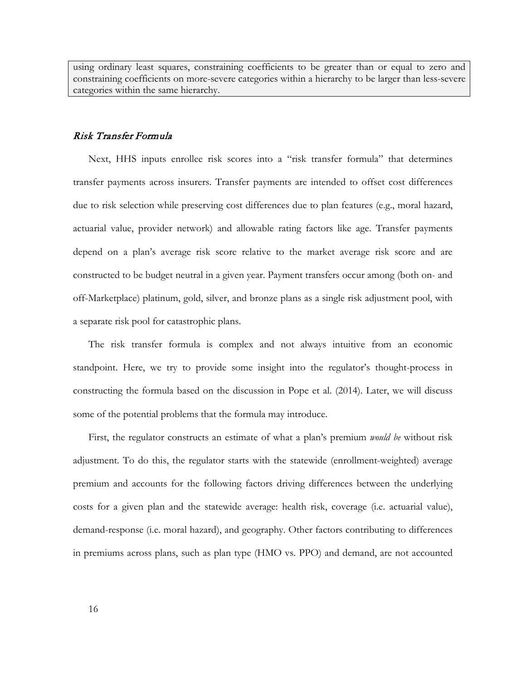using ordinary least squares, constraining coefficients to be greater than or equal to zero and constraining coefficients on more-severe categories within a hierarchy to be larger than less-severe categories within the same hierarchy.

### Risk Transfer Formula

Next, HHS inputs enrollee risk scores into a "risk transfer formula" that determines transfer payments across insurers. Transfer payments are intended to offset cost differences due to risk selection while preserving cost differences due to plan features (e.g., moral hazard, actuarial value, provider network) and allowable rating factors like age. Transfer payments depend on a plan's average risk score relative to the market average risk score and are constructed to be budget neutral in a given year. Payment transfers occur among (both on- and off-Marketplace) platinum, gold, silver, and bronze plans as a single risk adjustment pool, with a separate risk pool for catastrophic plans.

The risk transfer formula is complex and not always intuitive from an economic standpoint. Here, we try to provide some insight into the regulator's thought-process in constructing the formula based on the discussion in Pope et al. (2014). Later, we will discuss some of the potential problems that the formula may introduce.

First, the regulator constructs an estimate of what a plan's premium *would be* without risk adjustment. To do this, the regulator starts with the statewide (enrollment-weighted) average premium and accounts for the following factors driving differences between the underlying costs for a given plan and the statewide average: health risk, coverage (i.e. actuarial value), demand-response (i.e. moral hazard), and geography. Other factors contributing to differences in premiums across plans, such as plan type (HMO vs. PPO) and demand, are not accounted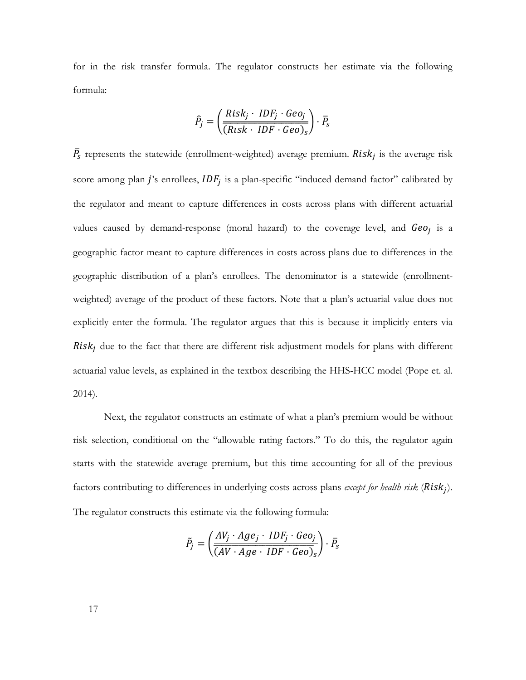for in the risk transfer formula. The regulator constructs her estimate via the following formula:

$$
\hat{P}_j = \left(\frac{Risk_j \cdot IDF_j \cdot Geo_j}{(Risk \cdot IDF \cdot Geo)_s}\right) \cdot \bar{P}_s
$$

 $\bar{P}_{s}$  represents the statewide (enrollment-weighted) average premium. Risk<sub>i</sub> is the average risk score among plan j's enrollees,  $IDF_j$  is a plan-specific "induced demand factor" calibrated by the regulator and meant to capture differences in costs across plans with different actuarial values caused by demand-response (moral hazard) to the coverage level, and  $Geo_i$  is a geographic factor meant to capture differences in costs across plans due to differences in the geographic distribution of a plan's enrollees. The denominator is a statewide (enrollmentweighted) average of the product of these factors. Note that a plan's actuarial value does not explicitly enter the formula. The regulator argues that this is because it implicitly enters via  $Risk_i$  due to the fact that there are different risk adjustment models for plans with different actuarial value levels, as explained in the textbox describing the HHS-HCC model (Pope et. al.  $2014$ ).

Next, the regulator constructs an estimate of what a plan's premium would be without risk selection, conditional on the "allowable rating factors." To do this, the regulator again starts with the statewide average premium, but this time accounting for all of the previous factors contributing to differences in underlying costs across plans *except for health risk* ( $Risk<sub>i</sub>$ ). The regulator constructs this estimate via the following formula:

$$
\tilde{P}_j = \left(\frac{AV_j \cdot Age_j \cdot IDF_j \cdot Geo_j}{(AV \cdot Age \cdot IDF \cdot Geo)_s}\right) \cdot \bar{P}_s
$$

17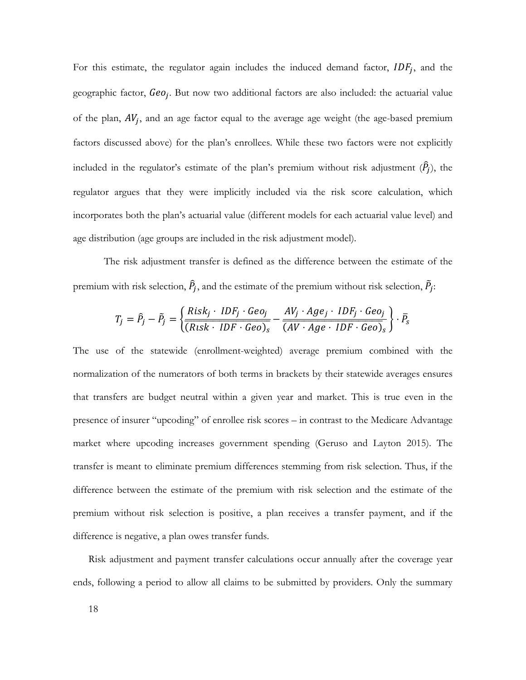For this estimate, the regulator again includes the induced demand factor,  $IDF_j$ , and the geographic factor,  $Geo_j$ . But now two additional factors are also included: the actuarial value of the plan,  $AV_j$ , and an age factor equal to the average age weight (the age-based premium factors discussed above) for the plan's enrollees. While these two factors were not explicitly included in the regulator's estimate of the plan's premium without risk adjustment  $(\hat{P}_j)$ , the regulator argues that they were implicitly included via the risk score calculation, which incorporates both the plan's actuarial value (different models for each actuarial value level) and age distribution (age groups are included in the risk adjustment model).

The risk adjustment transfer is defined as the difference between the estimate of the premium with risk selection,  $\ddot{P}_j$ , and the estimate of the premium without risk selection,  $\ddot{P}_j$ :

$$
T_j = \hat{P}_j - \tilde{P}_j = \left\{ \frac{Risk_j \cdot IDF_j \cdot Geo_j}{(Risk \cdot IDF \cdot Geo)_s} - \frac{AV_j \cdot Age_j \cdot IDF_j \cdot Geo_j}{(AV \cdot Age \cdot IDF \cdot Geo)_s} \right\} \cdot \bar{P}_s
$$

The use of the statewide (enrollment-weighted) average premium combined with the normalization of the numerators of both terms in brackets by their statewide averages ensures that transfers are budget neutral within a given year and market. This is true even in the presence of insurer "upcoding" of enrollee risk scores – in contrast to the Medicare Advantage market where upcoding increases government spending (Geruso and Layton 2015). The transfer is meant to eliminate premium differences stemming from risk selection. Thus, if the difference between the estimate of the premium with risk selection and the estimate of the premium without risk selection is positive, a plan receives a transfer payment, and if the difference is negative, a plan owes transfer funds.

Risk adjustment and payment transfer calculations occur annually after the coverage year ends, following a period to allow all claims to be submitted by providers. Only the summary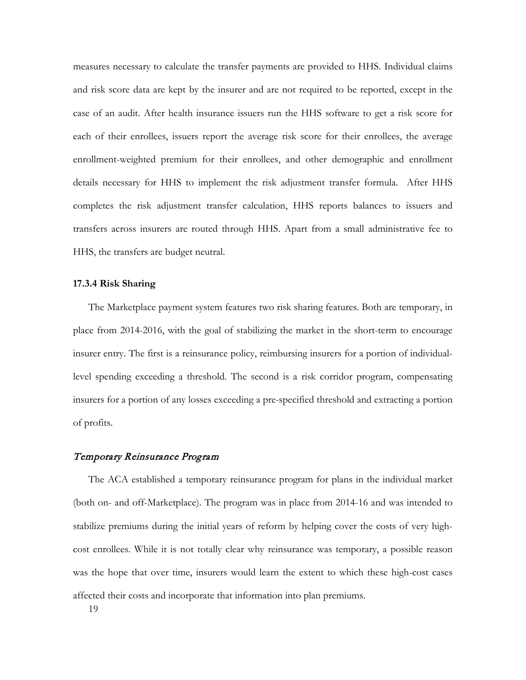measures necessary to calculate the transfer payments are provided to HHS. Individual claims and risk score data are kept by the insurer and are not required to be reported, except in the case of an audit. After health insurance issuers run the HHS software to get a risk score for each of their enrollees, issuers report the average risk score for their enrollees, the average enrollment-weighted premium for their enrollees, and other demographic and enrollment details necessary for HHS to implement the risk adjustment transfer formula. After HHS completes the risk adjustment transfer calculation, HHS reports balances to issuers and transfers across insurers are routed through HHS. Apart from a small administrative fee to HHS, the transfers are budget neutral.

### **17.3.4 Risk Sharing**

The Marketplace payment system features two risk sharing features. Both are temporary, in place from 2014-2016, with the goal of stabilizing the market in the short-term to encourage insurer entry. The first is a reinsurance policy, reimbursing insurers for a portion of individuallevel spending exceeding a threshold. The second is a risk corridor program, compensating insurers for a portion of any losses exceeding a pre-specified threshold and extracting a portion of profits.

### Temporary Reinsurance Program

The ACA established a temporary reinsurance program for plans in the individual market (both on- and off-Marketplace). The program was in place from 2014-16 and was intended to stabilize premiums during the initial years of reform by helping cover the costs of very highcost enrollees. While it is not totally clear why reinsurance was temporary, a possible reason was the hope that over time, insurers would learn the extent to which these high-cost cases affected their costs and incorporate that information into plan premiums.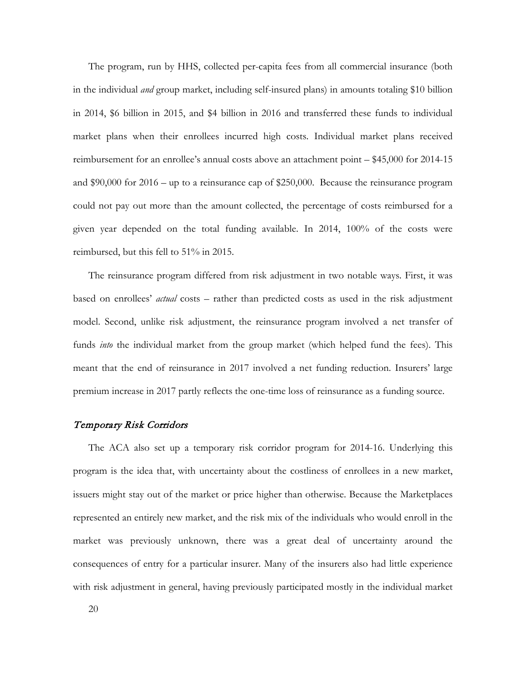The program, run by HHS, collected per-capita fees from all commercial insurance (both in the individual *and* group market, including self-insured plans) in amounts totaling \$10 billion in 2014, \$6 billion in 2015, and \$4 billion in 2016 and transferred these funds to individual market plans when their enrollees incurred high costs. Individual market plans received reimbursement for an enrollee's annual costs above an attachment point – \$45,000 for 2014-15 and \$90,000 for 2016 – up to a reinsurance cap of \$250,000. Because the reinsurance program could not pay out more than the amount collected, the percentage of costs reimbursed for a given year depended on the total funding available. In 2014, 100% of the costs were reimbursed, but this fell to 51% in 2015.

The reinsurance program differed from risk adjustment in two notable ways. First, it was based on enrollees' *actual* costs – rather than predicted costs as used in the risk adjustment model. Second, unlike risk adjustment, the reinsurance program involved a net transfer of funds *into* the individual market from the group market (which helped fund the fees). This meant that the end of reinsurance in 2017 involved a net funding reduction. Insurers' large premium increase in 2017 partly reflects the one-time loss of reinsurance as a funding source.

# Temporary Risk Corridors

The ACA also set up a temporary risk corridor program for 2014-16. Underlying this program is the idea that, with uncertainty about the costliness of enrollees in a new market, issuers might stay out of the market or price higher than otherwise. Because the Marketplaces represented an entirely new market, and the risk mix of the individuals who would enroll in the market was previously unknown, there was a great deal of uncertainty around the consequences of entry for a particular insurer. Many of the insurers also had little experience with risk adjustment in general, having previously participated mostly in the individual market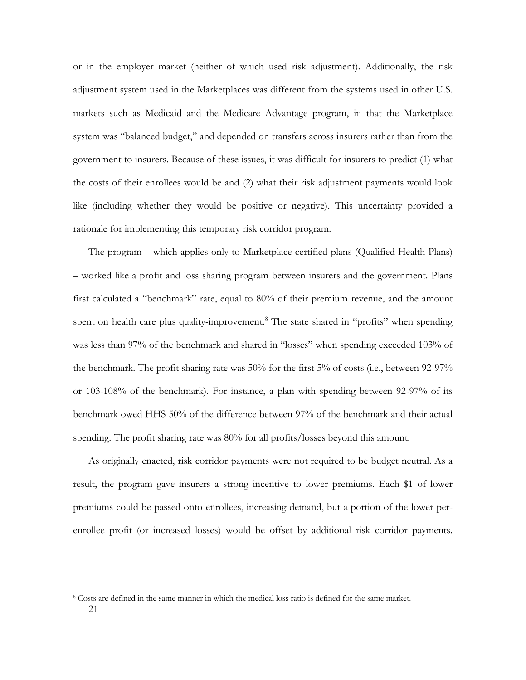or in the employer market (neither of which used risk adjustment). Additionally, the risk adjustment system used in the Marketplaces was different from the systems used in other U.S. markets such as Medicaid and the Medicare Advantage program, in that the Marketplace system was "balanced budget," and depended on transfers across insurers rather than from the government to insurers. Because of these issues, it was difficult for insurers to predict (1) what the costs of their enrollees would be and (2) what their risk adjustment payments would look like (including whether they would be positive or negative). This uncertainty provided a rationale for implementing this temporary risk corridor program.

The program – which applies only to Marketplace-certified plans (Qualified Health Plans) – worked like a profit and loss sharing program between insurers and the government. Plans first calculated a "benchmark" rate, equal to 80% of their premium revenue, and the amount spent on health care plus quality-improvement.<sup>[8](#page-20-0)</sup> The state shared in "profits" when spending was less than 97% of the benchmark and shared in "losses" when spending exceeded 103% of the benchmark. The profit sharing rate was 50% for the first 5% of costs (i.e., between 92-97% or 103-108% of the benchmark). For instance, a plan with spending between 92-97% of its benchmark owed HHS 50% of the difference between 97% of the benchmark and their actual spending. The profit sharing rate was 80% for all profits/losses beyond this amount.

As originally enacted, risk corridor payments were not required to be budget neutral. As a result, the program gave insurers a strong incentive to lower premiums. Each \$1 of lower premiums could be passed onto enrollees, increasing demand, but a portion of the lower perenrollee profit (or increased losses) would be offset by additional risk corridor payments.

<u>.</u>

<span id="page-20-0"></span><sup>21</sup> <sup>8</sup> Costs are defined in the same manner in which the medical loss ratio is defined for the same market.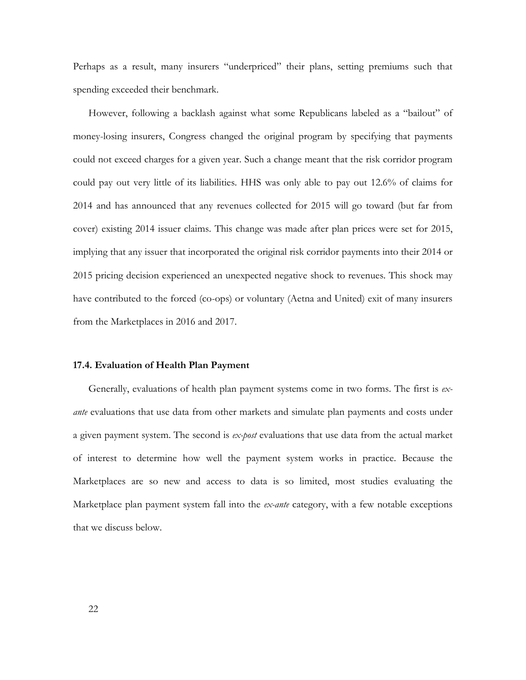Perhaps as a result, many insurers "underpriced" their plans, setting premiums such that spending exceeded their benchmark.

However, following a backlash against what some Republicans labeled as a "bailout" of money-losing insurers, Congress changed the original program by specifying that payments could not exceed charges for a given year. Such a change meant that the risk corridor program could pay out very little of its liabilities. HHS was only able to pay out 12.6% of claims for 2014 and has announced that any revenues collected for 2015 will go toward (but far from cover) existing 2014 issuer claims. This change was made after plan prices were set for 2015, implying that any issuer that incorporated the original risk corridor payments into their 2014 or 2015 pricing decision experienced an unexpected negative shock to revenues. This shock may have contributed to the forced (co-ops) or voluntary (Aetna and United) exit of many insurers from the Marketplaces in 2016 and 2017.

#### **17.4. Evaluation of Health Plan Payment**

Generally, evaluations of health plan payment systems come in two forms. The first is *exante* evaluations that use data from other markets and simulate plan payments and costs under a given payment system. The second is *ex-post* evaluations that use data from the actual market of interest to determine how well the payment system works in practice. Because the Marketplaces are so new and access to data is so limited, most studies evaluating the Marketplace plan payment system fall into the *ex-ante* category, with a few notable exceptions that we discuss below.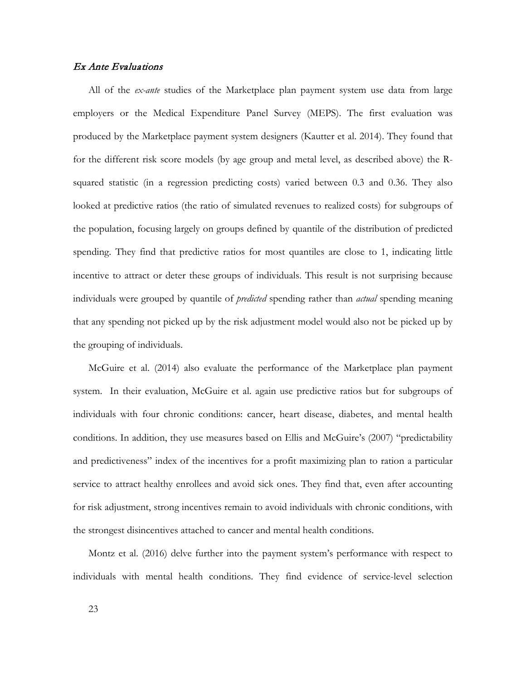# Ex Ante Evaluations

All of the *ex-ante* studies of the Marketplace plan payment system use data from large employers or the Medical Expenditure Panel Survey (MEPS). The first evaluation was produced by the Marketplace payment system designers (Kautter et al. 2014). They found that for the different risk score models (by age group and metal level, as described above) the Rsquared statistic (in a regression predicting costs) varied between 0.3 and 0.36. They also looked at predictive ratios (the ratio of simulated revenues to realized costs) for subgroups of the population, focusing largely on groups defined by quantile of the distribution of predicted spending. They find that predictive ratios for most quantiles are close to 1, indicating little incentive to attract or deter these groups of individuals. This result is not surprising because individuals were grouped by quantile of *predicted* spending rather than *actual* spending meaning that any spending not picked up by the risk adjustment model would also not be picked up by the grouping of individuals.

McGuire et al. (2014) also evaluate the performance of the Marketplace plan payment system. In their evaluation, McGuire et al. again use predictive ratios but for subgroups of individuals with four chronic conditions: cancer, heart disease, diabetes, and mental health conditions. In addition, they use measures based on Ellis and McGuire's (2007) "predictability and predictiveness" index of the incentives for a profit maximizing plan to ration a particular service to attract healthy enrollees and avoid sick ones. They find that, even after accounting for risk adjustment, strong incentives remain to avoid individuals with chronic conditions, with the strongest disincentives attached to cancer and mental health conditions.

Montz et al. (2016) delve further into the payment system's performance with respect to individuals with mental health conditions. They find evidence of service-level selection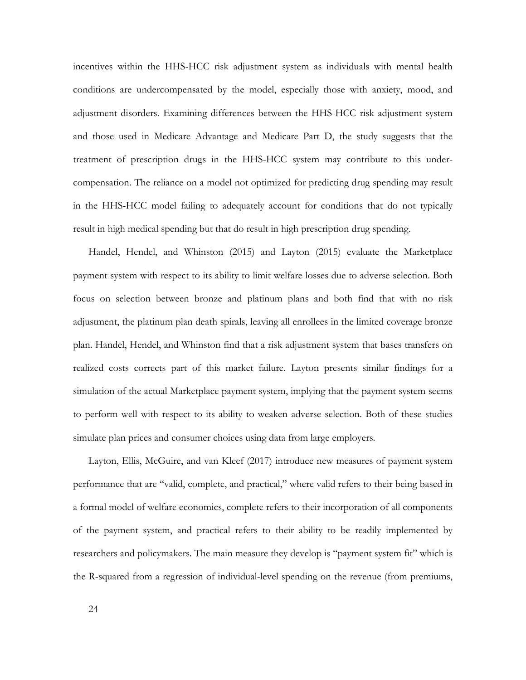incentives within the HHS-HCC risk adjustment system as individuals with mental health conditions are undercompensated by the model, especially those with anxiety, mood, and adjustment disorders. Examining differences between the HHS-HCC risk adjustment system and those used in Medicare Advantage and Medicare Part D, the study suggests that the treatment of prescription drugs in the HHS-HCC system may contribute to this undercompensation. The reliance on a model not optimized for predicting drug spending may result in the HHS-HCC model failing to adequately account for conditions that do not typically result in high medical spending but that do result in high prescription drug spending.

Handel, Hendel, and Whinston (2015) and Layton (2015) evaluate the Marketplace payment system with respect to its ability to limit welfare losses due to adverse selection. Both focus on selection between bronze and platinum plans and both find that with no risk adjustment, the platinum plan death spirals, leaving all enrollees in the limited coverage bronze plan. Handel, Hendel, and Whinston find that a risk adjustment system that bases transfers on realized costs corrects part of this market failure. Layton presents similar findings for a simulation of the actual Marketplace payment system, implying that the payment system seems to perform well with respect to its ability to weaken adverse selection. Both of these studies simulate plan prices and consumer choices using data from large employers.

Layton, Ellis, McGuire, and van Kleef (2017) introduce new measures of payment system performance that are "valid, complete, and practical," where valid refers to their being based in a formal model of welfare economics, complete refers to their incorporation of all components of the payment system, and practical refers to their ability to be readily implemented by researchers and policymakers. The main measure they develop is "payment system fit" which is the R-squared from a regression of individual-level spending on the revenue (from premiums,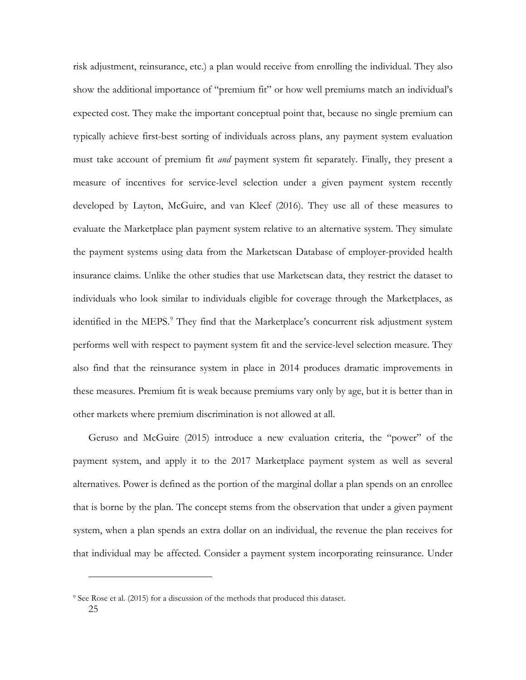risk adjustment, reinsurance, etc.) a plan would receive from enrolling the individual. They also show the additional importance of "premium fit" or how well premiums match an individual's expected cost. They make the important conceptual point that, because no single premium can typically achieve first-best sorting of individuals across plans, any payment system evaluation must take account of premium fit *and* payment system fit separately. Finally, they present a measure of incentives for service-level selection under a given payment system recently developed by Layton, McGuire, and van Kleef (2016). They use all of these measures to evaluate the Marketplace plan payment system relative to an alternative system. They simulate the payment systems using data from the Marketscan Database of employer-provided health insurance claims. Unlike the other studies that use Marketscan data, they restrict the dataset to individuals who look similar to individuals eligible for coverage through the Marketplaces, as identified in the MEPS.<sup>[9](#page-24-0)</sup> They find that the Marketplace's concurrent risk adjustment system performs well with respect to payment system fit and the service-level selection measure. They also find that the reinsurance system in place in 2014 produces dramatic improvements in these measures. Premium fit is weak because premiums vary only by age, but it is better than in other markets where premium discrimination is not allowed at all.

Geruso and McGuire (2015) introduce a new evaluation criteria, the "power" of the payment system, and apply it to the 2017 Marketplace payment system as well as several alternatives. Power is defined as the portion of the marginal dollar a plan spends on an enrollee that is borne by the plan. The concept stems from the observation that under a given payment system, when a plan spends an extra dollar on an individual, the revenue the plan receives for that individual may be affected. Consider a payment system incorporating reinsurance. Under

<u>.</u>

<span id="page-24-0"></span><sup>25</sup> <sup>9</sup> See Rose et al. (2015) for a discussion of the methods that produced this dataset.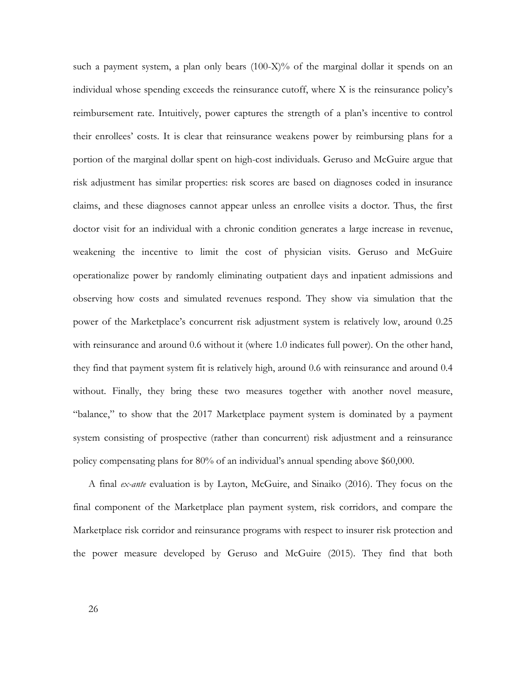such a payment system, a plan only bears  $(100-X)%$  of the marginal dollar it spends on an individual whose spending exceeds the reinsurance cutoff, where X is the reinsurance policy's reimbursement rate. Intuitively, power captures the strength of a plan's incentive to control their enrollees' costs. It is clear that reinsurance weakens power by reimbursing plans for a portion of the marginal dollar spent on high-cost individuals. Geruso and McGuire argue that risk adjustment has similar properties: risk scores are based on diagnoses coded in insurance claims, and these diagnoses cannot appear unless an enrollee visits a doctor. Thus, the first doctor visit for an individual with a chronic condition generates a large increase in revenue, weakening the incentive to limit the cost of physician visits. Geruso and McGuire operationalize power by randomly eliminating outpatient days and inpatient admissions and observing how costs and simulated revenues respond. They show via simulation that the power of the Marketplace's concurrent risk adjustment system is relatively low, around 0.25 with reinsurance and around 0.6 without it (where 1.0 indicates full power). On the other hand, they find that payment system fit is relatively high, around 0.6 with reinsurance and around 0.4 without. Finally, they bring these two measures together with another novel measure, "balance," to show that the 2017 Marketplace payment system is dominated by a payment system consisting of prospective (rather than concurrent) risk adjustment and a reinsurance policy compensating plans for 80% of an individual's annual spending above \$60,000.

A final *ex-ante* evaluation is by Layton, McGuire, and Sinaiko (2016). They focus on the final component of the Marketplace plan payment system, risk corridors, and compare the Marketplace risk corridor and reinsurance programs with respect to insurer risk protection and the power measure developed by Geruso and McGuire (2015). They find that both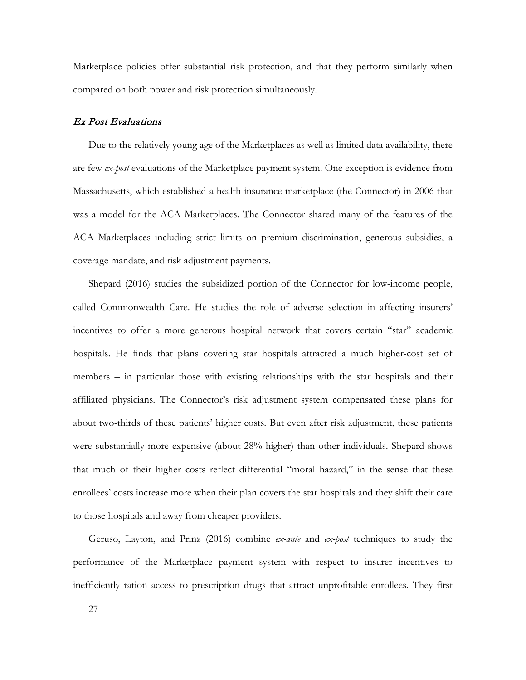Marketplace policies offer substantial risk protection, and that they perform similarly when compared on both power and risk protection simultaneously.

# Ex Post Evaluations

Due to the relatively young age of the Marketplaces as well as limited data availability, there are few *ex-post* evaluations of the Marketplace payment system. One exception is evidence from Massachusetts, which established a health insurance marketplace (the Connector) in 2006 that was a model for the ACA Marketplaces. The Connector shared many of the features of the ACA Marketplaces including strict limits on premium discrimination, generous subsidies, a coverage mandate, and risk adjustment payments.

Shepard (2016) studies the subsidized portion of the Connector for low-income people, called Commonwealth Care. He studies the role of adverse selection in affecting insurers' incentives to offer a more generous hospital network that covers certain "star" academic hospitals. He finds that plans covering star hospitals attracted a much higher-cost set of members – in particular those with existing relationships with the star hospitals and their affiliated physicians. The Connector's risk adjustment system compensated these plans for about two-thirds of these patients' higher costs. But even after risk adjustment, these patients were substantially more expensive (about 28% higher) than other individuals. Shepard shows that much of their higher costs reflect differential "moral hazard," in the sense that these enrollees' costs increase more when their plan covers the star hospitals and they shift their care to those hospitals and away from cheaper providers.

Geruso, Layton, and Prinz (2016) combine *ex-ante* and *ex-post* techniques to study the performance of the Marketplace payment system with respect to insurer incentives to inefficiently ration access to prescription drugs that attract unprofitable enrollees. They first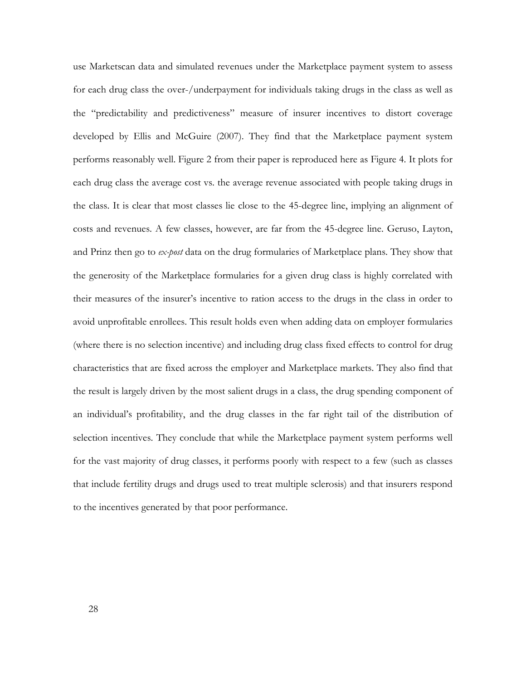use Marketscan data and simulated revenues under the Marketplace payment system to assess for each drug class the over-/underpayment for individuals taking drugs in the class as well as the "predictability and predictiveness" measure of insurer incentives to distort coverage developed by Ellis and McGuire (2007). They find that the Marketplace payment system performs reasonably well. Figure 2 from their paper is reproduced here as Figure 4. It plots for each drug class the average cost vs. the average revenue associated with people taking drugs in the class. It is clear that most classes lie close to the 45-degree line, implying an alignment of costs and revenues. A few classes, however, are far from the 45-degree line. Geruso, Layton, and Prinz then go to *ex-post* data on the drug formularies of Marketplace plans. They show that the generosity of the Marketplace formularies for a given drug class is highly correlated with their measures of the insurer's incentive to ration access to the drugs in the class in order to avoid unprofitable enrollees. This result holds even when adding data on employer formularies (where there is no selection incentive) and including drug class fixed effects to control for drug characteristics that are fixed across the employer and Marketplace markets. They also find that the result is largely driven by the most salient drugs in a class, the drug spending component of an individual's profitability, and the drug classes in the far right tail of the distribution of selection incentives. They conclude that while the Marketplace payment system performs well for the vast majority of drug classes, it performs poorly with respect to a few (such as classes that include fertility drugs and drugs used to treat multiple sclerosis) and that insurers respond to the incentives generated by that poor performance.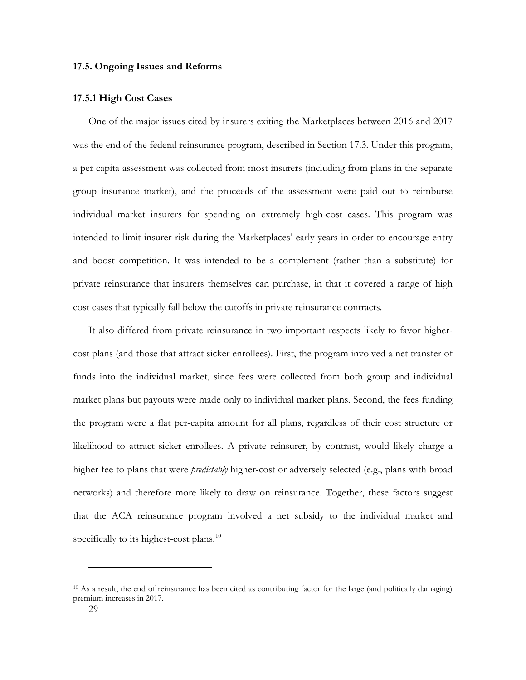### **17.5. Ongoing Issues and Reforms**

# **17.5.1 High Cost Cases**

One of the major issues cited by insurers exiting the Marketplaces between 2016 and 2017 was the end of the federal reinsurance program, described in Section 17.3. Under this program, a per capita assessment was collected from most insurers (including from plans in the separate group insurance market), and the proceeds of the assessment were paid out to reimburse individual market insurers for spending on extremely high-cost cases. This program was intended to limit insurer risk during the Marketplaces' early years in order to encourage entry and boost competition. It was intended to be a complement (rather than a substitute) for private reinsurance that insurers themselves can purchase, in that it covered a range of high cost cases that typically fall below the cutoffs in private reinsurance contracts.

It also differed from private reinsurance in two important respects likely to favor highercost plans (and those that attract sicker enrollees). First, the program involved a net transfer of funds into the individual market, since fees were collected from both group and individual market plans but payouts were made only to individual market plans. Second, the fees funding the program were a flat per-capita amount for all plans, regardless of their cost structure or likelihood to attract sicker enrollees. A private reinsurer, by contrast, would likely charge a higher fee to plans that were *predictably* higher-cost or adversely selected (e.g., plans with broad networks) and therefore more likely to draw on reinsurance. Together, these factors suggest that the ACA reinsurance program involved a net subsidy to the individual market and specifically to its highest-cost plans.<sup>[10](#page-28-0)</sup>

-

<span id="page-28-0"></span><sup>10</sup> As a result, the end of reinsurance has been cited as contributing factor for the large (and politically damaging) premium increases in 2017.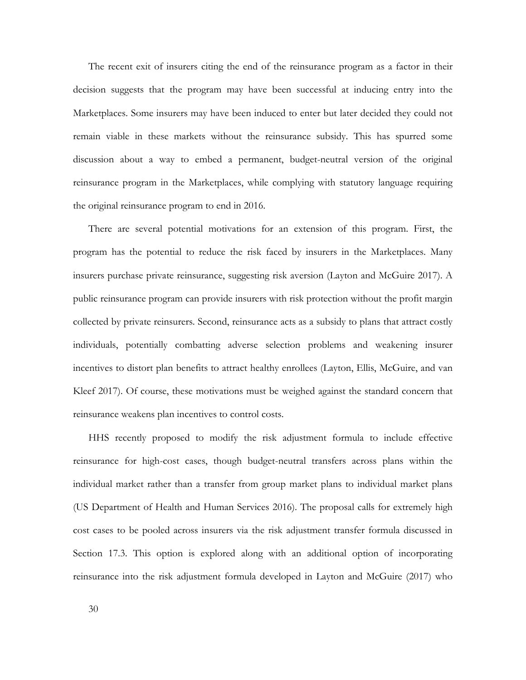The recent exit of insurers citing the end of the reinsurance program as a factor in their decision suggests that the program may have been successful at inducing entry into the Marketplaces. Some insurers may have been induced to enter but later decided they could not remain viable in these markets without the reinsurance subsidy. This has spurred some discussion about a way to embed a permanent, budget-neutral version of the original reinsurance program in the Marketplaces, while complying with statutory language requiring the original reinsurance program to end in 2016.

There are several potential motivations for an extension of this program. First, the program has the potential to reduce the risk faced by insurers in the Marketplaces. Many insurers purchase private reinsurance, suggesting risk aversion (Layton and McGuire 2017). A public reinsurance program can provide insurers with risk protection without the profit margin collected by private reinsurers. Second, reinsurance acts as a subsidy to plans that attract costly individuals, potentially combatting adverse selection problems and weakening insurer incentives to distort plan benefits to attract healthy enrollees (Layton, Ellis, McGuire, and van Kleef 2017). Of course, these motivations must be weighed against the standard concern that reinsurance weakens plan incentives to control costs.

HHS recently proposed to modify the risk adjustment formula to include effective reinsurance for high-cost cases, though budget-neutral transfers across plans within the individual market rather than a transfer from group market plans to individual market plans (US Department of Health and Human Services 2016). The proposal calls for extremely high cost cases to be pooled across insurers via the risk adjustment transfer formula discussed in Section 17.3. This option is explored along with an additional option of incorporating reinsurance into the risk adjustment formula developed in Layton and McGuire (2017) who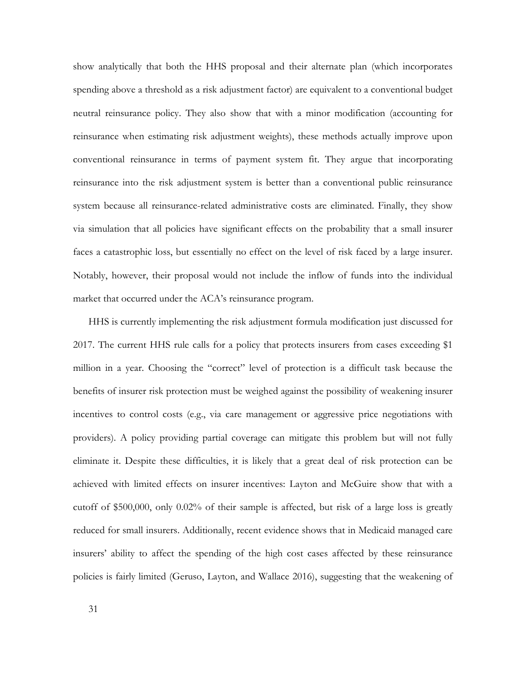show analytically that both the HHS proposal and their alternate plan (which incorporates spending above a threshold as a risk adjustment factor) are equivalent to a conventional budget neutral reinsurance policy. They also show that with a minor modification (accounting for reinsurance when estimating risk adjustment weights), these methods actually improve upon conventional reinsurance in terms of payment system fit. They argue that incorporating reinsurance into the risk adjustment system is better than a conventional public reinsurance system because all reinsurance-related administrative costs are eliminated. Finally, they show via simulation that all policies have significant effects on the probability that a small insurer faces a catastrophic loss, but essentially no effect on the level of risk faced by a large insurer. Notably, however, their proposal would not include the inflow of funds into the individual market that occurred under the ACA's reinsurance program.

HHS is currently implementing the risk adjustment formula modification just discussed for 2017. The current HHS rule calls for a policy that protects insurers from cases exceeding \$1 million in a year. Choosing the "correct" level of protection is a difficult task because the benefits of insurer risk protection must be weighed against the possibility of weakening insurer incentives to control costs (e.g., via care management or aggressive price negotiations with providers). A policy providing partial coverage can mitigate this problem but will not fully eliminate it. Despite these difficulties, it is likely that a great deal of risk protection can be achieved with limited effects on insurer incentives: Layton and McGuire show that with a cutoff of \$500,000, only 0.02% of their sample is affected, but risk of a large loss is greatly reduced for small insurers. Additionally, recent evidence shows that in Medicaid managed care insurers' ability to affect the spending of the high cost cases affected by these reinsurance policies is fairly limited (Geruso, Layton, and Wallace 2016), suggesting that the weakening of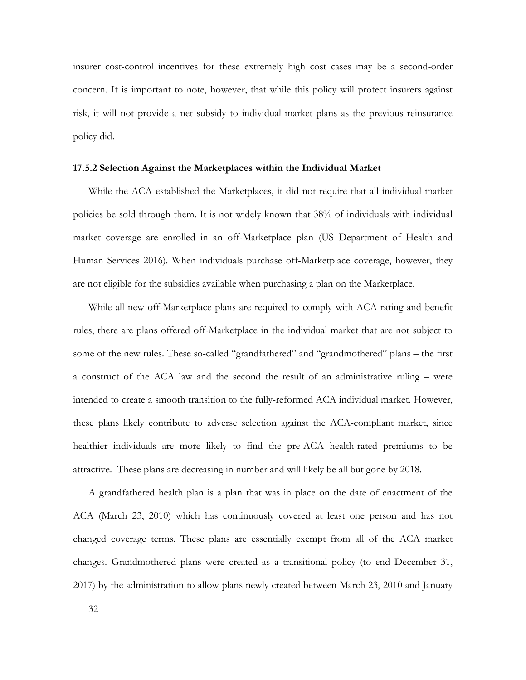insurer cost-control incentives for these extremely high cost cases may be a second-order concern. It is important to note, however, that while this policy will protect insurers against risk, it will not provide a net subsidy to individual market plans as the previous reinsurance policy did.

#### **17.5.2 Selection Against the Marketplaces within the Individual Market**

While the ACA established the Marketplaces, it did not require that all individual market policies be sold through them. It is not widely known that 38% of individuals with individual market coverage are enrolled in an off-Marketplace plan (US Department of Health and Human Services 2016). When individuals purchase off-Marketplace coverage, however, they are not eligible for the subsidies available when purchasing a plan on the Marketplace.

While all new off-Marketplace plans are required to comply with ACA rating and benefit rules, there are plans offered off-Marketplace in the individual market that are not subject to some of the new rules. These so-called "grandfathered" and "grandmothered" plans – the first a construct of the ACA law and the second the result of an administrative ruling – were intended to create a smooth transition to the fully-reformed ACA individual market. However, these plans likely contribute to adverse selection against the ACA-compliant market, since healthier individuals are more likely to find the pre-ACA health-rated premiums to be attractive. These plans are decreasing in number and will likely be all but gone by 2018.

A grandfathered health plan is a plan that was in place on the date of enactment of the ACA (March 23, 2010) which has continuously covered at least one person and has not changed coverage terms. These plans are essentially exempt from all of the ACA market changes. Grandmothered plans were created as a transitional policy (to end December 31, 2017) by the administration to allow plans newly created between March 23, 2010 and January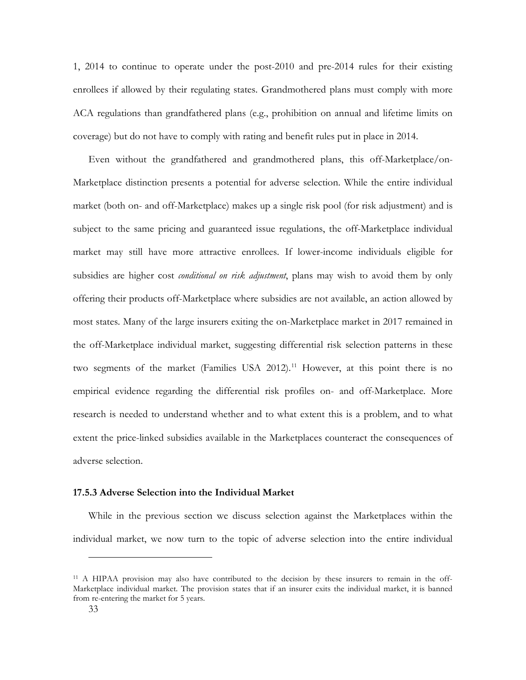1, 2014 to continue to operate under the post-2010 and pre-2014 rules for their existing enrollees if allowed by their regulating states. Grandmothered plans must comply with more ACA regulations than grandfathered plans (e.g., prohibition on annual and lifetime limits on coverage) but do not have to comply with rating and benefit rules put in place in 2014.

Even without the grandfathered and grandmothered plans, this off-Marketplace/on-Marketplace distinction presents a potential for adverse selection. While the entire individual market (both on- and off-Marketplace) makes up a single risk pool (for risk adjustment) and is subject to the same pricing and guaranteed issue regulations, the off-Marketplace individual market may still have more attractive enrollees. If lower-income individuals eligible for subsidies are higher cost *conditional on risk adjustment*, plans may wish to avoid them by only offering their products off-Marketplace where subsidies are not available, an action allowed by most states. Many of the large insurers exiting the on-Marketplace market in 2017 remained in the off-Marketplace individual market, suggesting differential risk selection patterns in these two segments of the market (Families USA 2012).<sup>[11](#page-32-0)</sup> However, at this point there is no empirical evidence regarding the differential risk profiles on- and off-Marketplace. More research is needed to understand whether and to what extent this is a problem, and to what extent the price-linked subsidies available in the Marketplaces counteract the consequences of adverse selection.

# **17.5.3 Adverse Selection into the Individual Market**

While in the previous section we discuss selection against the Marketplaces within the individual market, we now turn to the topic of adverse selection into the entire individual

-

<span id="page-32-0"></span><sup>11</sup> A HIPAA provision may also have contributed to the decision by these insurers to remain in the off-Marketplace individual market. The provision states that if an insurer exits the individual market, it is banned from re-entering the market for 5 years.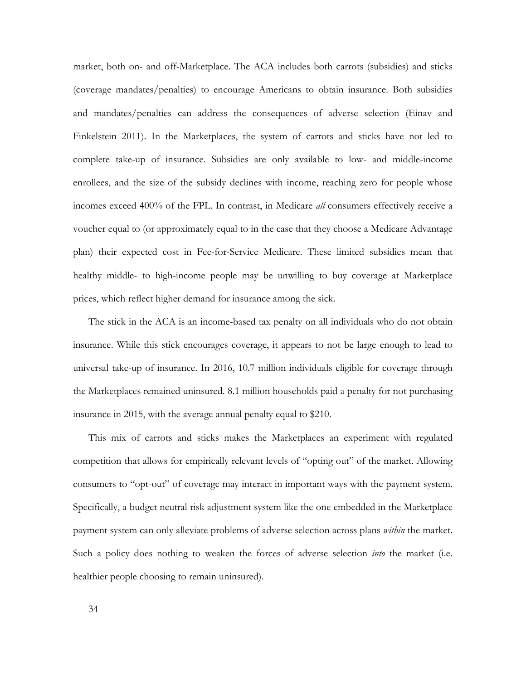market, both on- and off-Marketplace. The ACA includes both carrots (subsidies) and sticks (coverage mandates/penalties) to encourage Americans to obtain insurance. Both subsidies and mandates/penalties can address the consequences of adverse selection (Einav and Finkelstein 2011). In the Marketplaces, the system of carrots and sticks have not led to complete take-up of insurance. Subsidies are only available to low- and middle-income enrollees, and the size of the subsidy declines with income, reaching zero for people whose incomes exceed 400% of the FPL. In contrast, in Medicare *all* consumers effectively receive a voucher equal to (or approximately equal to in the case that they choose a Medicare Advantage plan) their expected cost in Fee-for-Service Medicare. These limited subsidies mean that healthy middle- to high-income people may be unwilling to buy coverage at Marketplace prices, which reflect higher demand for insurance among the sick.

The stick in the ACA is an income-based tax penalty on all individuals who do not obtain insurance. While this stick encourages coverage, it appears to not be large enough to lead to universal take-up of insurance. In 2016, 10.7 million individuals eligible for coverage through the Marketplaces remained uninsured. 8.1 million households paid a penalty for not purchasing insurance in 2015, with the average annual penalty equal to \$210.

This mix of carrots and sticks makes the Marketplaces an experiment with regulated competition that allows for empirically relevant levels of "opting out" of the market. Allowing consumers to "opt-out" of coverage may interact in important ways with the payment system. Specifically, a budget neutral risk adjustment system like the one embedded in the Marketplace payment system can only alleviate problems of adverse selection across plans *within* the market. Such a policy does nothing to weaken the forces of adverse selection *into* the market (i.e. healthier people choosing to remain uninsured).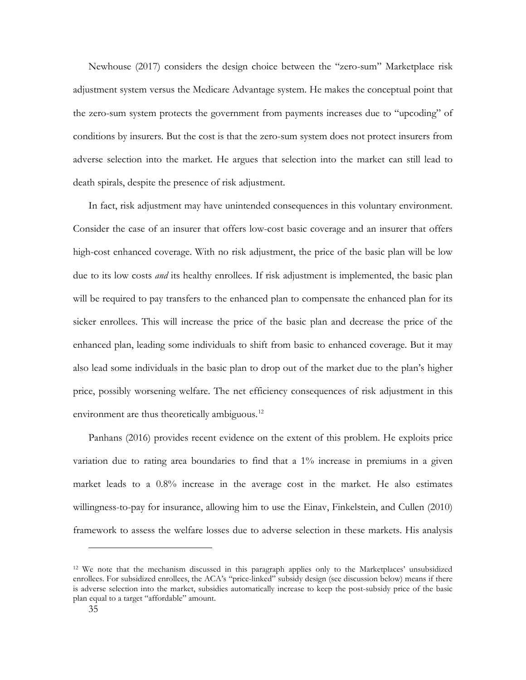Newhouse (2017) considers the design choice between the "zero-sum" Marketplace risk adjustment system versus the Medicare Advantage system. He makes the conceptual point that the zero-sum system protects the government from payments increases due to "upcoding" of conditions by insurers. But the cost is that the zero-sum system does not protect insurers from adverse selection into the market. He argues that selection into the market can still lead to death spirals, despite the presence of risk adjustment.

In fact, risk adjustment may have unintended consequences in this voluntary environment. Consider the case of an insurer that offers low-cost basic coverage and an insurer that offers high-cost enhanced coverage. With no risk adjustment, the price of the basic plan will be low due to its low costs *and* its healthy enrollees. If risk adjustment is implemented, the basic plan will be required to pay transfers to the enhanced plan to compensate the enhanced plan for its sicker enrollees. This will increase the price of the basic plan and decrease the price of the enhanced plan, leading some individuals to shift from basic to enhanced coverage. But it may also lead some individuals in the basic plan to drop out of the market due to the plan's higher price, possibly worsening welfare. The net efficiency consequences of risk adjustment in this environment are thus theoretically ambiguous.<sup>[12](#page-34-0)</sup>

Panhans (2016) provides recent evidence on the extent of this problem. He exploits price variation due to rating area boundaries to find that a 1% increase in premiums in a given market leads to a 0.8% increase in the average cost in the market. He also estimates willingness-to-pay for insurance, allowing him to use the Einav, Finkelstein, and Cullen (2010) framework to assess the welfare losses due to adverse selection in these markets. His analysis

<u>.</u>

<span id="page-34-0"></span><sup>12</sup> We note that the mechanism discussed in this paragraph applies only to the Marketplaces' unsubsidized enrollees. For subsidized enrollees, the ACA's "price-linked" subsidy design (see discussion below) means if there is adverse selection into the market, subsidies automatically increase to keep the post-subsidy price of the basic plan equal to a target "affordable" amount.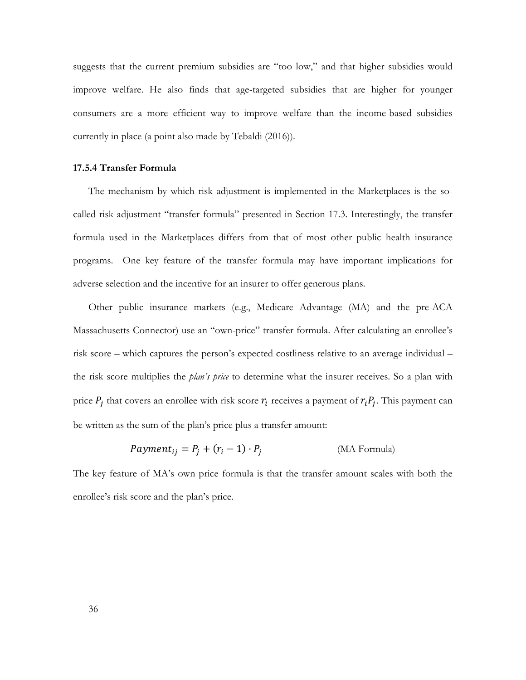suggests that the current premium subsidies are "too low," and that higher subsidies would improve welfare. He also finds that age-targeted subsidies that are higher for younger consumers are a more efficient way to improve welfare than the income-based subsidies currently in place (a point also made by Tebaldi (2016)).

### **17.5.4 Transfer Formula**

The mechanism by which risk adjustment is implemented in the Marketplaces is the socalled risk adjustment "transfer formula" presented in Section 17.3. Interestingly, the transfer formula used in the Marketplaces differs from that of most other public health insurance programs. One key feature of the transfer formula may have important implications for adverse selection and the incentive for an insurer to offer generous plans.

Other public insurance markets (e.g., Medicare Advantage (MA) and the pre-ACA Massachusetts Connector) use an "own-price" transfer formula. After calculating an enrollee's risk score – which captures the person's expected costliness relative to an average individual – the risk score multiplies the *plan's price* to determine what the insurer receives. So a plan with price  $P_i$  that covers an enrollee with risk score  $r_i$  receives a payment of  $r_i P_i$ . This payment can be written as the sum of the plan's price plus a transfer amount:

$$
Payment_{ij} = P_j + (r_i - 1) \cdot P_j
$$
 (MA Formula)

The key feature of MA's own price formula is that the transfer amount scales with both the enrollee's risk score and the plan's price.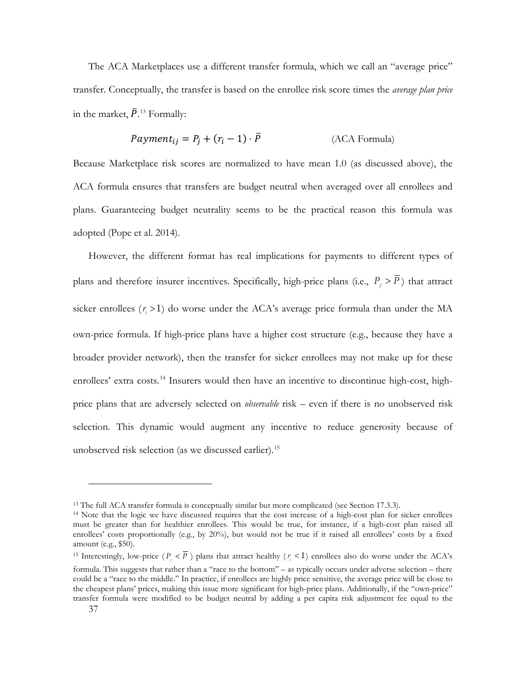The ACA Marketplaces use a different transfer formula, which we call an "average price" transfer. Conceptually, the transfer is based on the enrollee risk score times the *average plan price* in the market,  $\bar{P}$ <sup>[13](#page-36-0)</sup> Formally:

$$
Payment_{ij} = P_j + (r_i - 1) \cdot \bar{P}
$$
 (ACA Formula)

Because Marketplace risk scores are normalized to have mean 1.0 (as discussed above), the ACA formula ensures that transfers are budget neutral when averaged over all enrollees and plans. Guaranteeing budget neutrality seems to be the practical reason this formula was adopted (Pope et al. 2014).

However, the different format has real implications for payments to different types of plans and therefore insurer incentives. Specifically, high-price plans (i.e.,  $P_i > \overline{P}$ ) that attract sicker enrollees  $(r_i > 1)$  do worse under the ACA's average price formula than under the MA own-price formula. If high-price plans have a higher cost structure (e.g., because they have a broader provider network), then the transfer for sicker enrollees may not make up for these enrollees' extra costs.<sup>[14](#page-36-1)</sup> Insurers would then have an incentive to discontinue high-cost, highprice plans that are adversely selected on *observable* risk – even if there is no unobserved risk selection. This dynamic would augment any incentive to reduce generosity because of unobserved risk selection (as we discussed earlier).[15](#page-36-2)

<u>.</u>

<span id="page-36-0"></span><sup>&</sup>lt;sup>13</sup> The full ACA transfer formula is conceptually similar but more complicated (see Section 17.3.3).

<span id="page-36-1"></span><sup>14</sup> Note that the logic we have discussed requires that the cost increase of a high-cost plan for sicker enrollees must be greater than for healthier enrollees. This would be true, for instance, if a high-cost plan raised all enrollees' costs proportionally (e.g., by 20%), but would not be true if it raised all enrollees' costs by a fixed amount (e.g., \$50).

<span id="page-36-2"></span><sup>&</sup>lt;sup>15</sup> Interestingly, low-price  $(P_j < \overline{P})$  plans that attract healthy  $(r_i < 1)$  enrollees also do worse under the ACA's formula. This suggests that rather than a "race to the bottom" – as typically occurs under adverse selection – there could be a "race to the middle." In practice, if enrollees are highly price sensitive, the average price will be close to the cheapest plans' prices, making this issue more significant for high-price plans. Additionally, if the "own-price" transfer formula were modified to be budget neutral by adding a per capita risk adjustment fee equal to the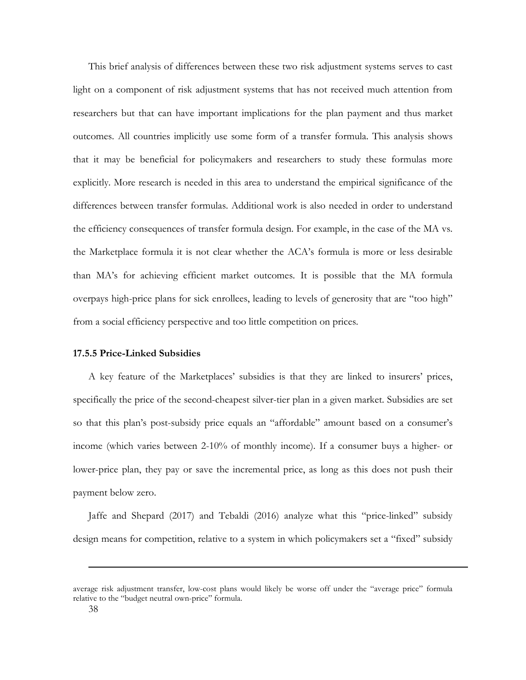This brief analysis of differences between these two risk adjustment systems serves to cast light on a component of risk adjustment systems that has not received much attention from researchers but that can have important implications for the plan payment and thus market outcomes. All countries implicitly use some form of a transfer formula. This analysis shows that it may be beneficial for policymakers and researchers to study these formulas more explicitly. More research is needed in this area to understand the empirical significance of the differences between transfer formulas. Additional work is also needed in order to understand the efficiency consequences of transfer formula design. For example, in the case of the MA vs. the Marketplace formula it is not clear whether the ACA's formula is more or less desirable than MA's for achieving efficient market outcomes. It is possible that the MA formula overpays high-price plans for sick enrollees, leading to levels of generosity that are "too high" from a social efficiency perspective and too little competition on prices.

## **17.5.5 Price-Linked Subsidies**

A key feature of the Marketplaces' subsidies is that they are linked to insurers' prices, specifically the price of the second-cheapest silver-tier plan in a given market. Subsidies are set so that this plan's post-subsidy price equals an "affordable" amount based on a consumer's income (which varies between 2-10% of monthly income). If a consumer buys a higher- or lower-price plan, they pay or save the incremental price, as long as this does not push their payment below zero.

Jaffe and Shepard (2017) and Tebaldi (2016) analyze what this "price-linked" subsidy design means for competition, relative to a system in which policymakers set a "fixed" subsidy

-

average risk adjustment transfer, low-cost plans would likely be worse off under the "average price" formula relative to the "budget neutral own-price" formula.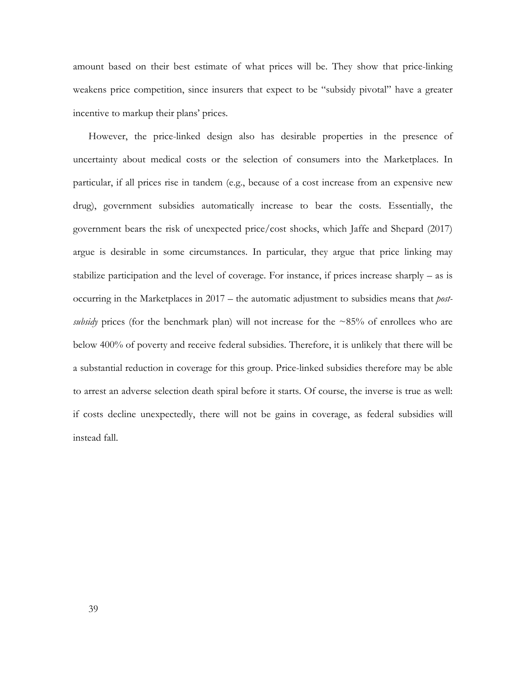amount based on their best estimate of what prices will be. They show that price-linking weakens price competition, since insurers that expect to be "subsidy pivotal" have a greater incentive to markup their plans' prices.

However, the price-linked design also has desirable properties in the presence of uncertainty about medical costs or the selection of consumers into the Marketplaces. In particular, if all prices rise in tandem (e.g., because of a cost increase from an expensive new drug), government subsidies automatically increase to bear the costs. Essentially, the government bears the risk of unexpected price/cost shocks, which Jaffe and Shepard (2017) argue is desirable in some circumstances. In particular, they argue that price linking may stabilize participation and the level of coverage. For instance, if prices increase sharply – as is occurring in the Marketplaces in 2017 – the automatic adjustment to subsidies means that *postsubsidy* prices (for the benchmark plan) will not increase for the  $\sim 85\%$  of enrollees who are below 400% of poverty and receive federal subsidies. Therefore, it is unlikely that there will be a substantial reduction in coverage for this group. Price-linked subsidies therefore may be able to arrest an adverse selection death spiral before it starts. Of course, the inverse is true as well: if costs decline unexpectedly, there will not be gains in coverage, as federal subsidies will instead fall.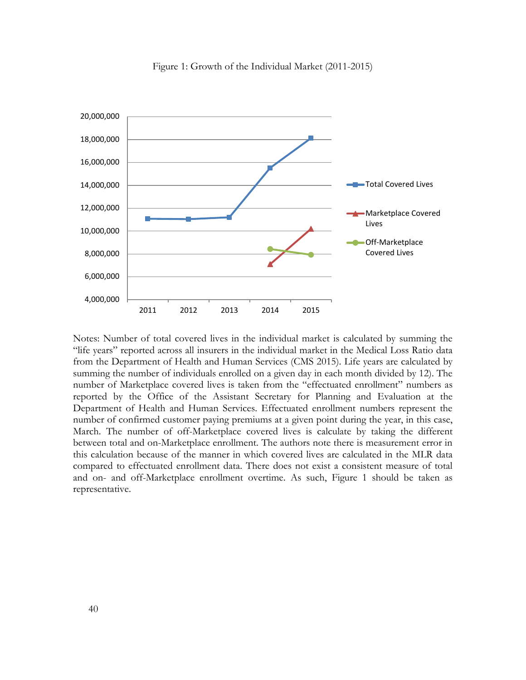

Figure 1: Growth of the Individual Market (2011-2015)

Notes: Number of total covered lives in the individual market is calculated by summing the "life years" reported across all insurers in the individual market in the Medical Loss Ratio data from the Department of Health and Human Services (CMS 2015). Life years are calculated by summing the number of individuals enrolled on a given day in each month divided by 12). The number of Marketplace covered lives is taken from the "effectuated enrollment" numbers as reported by the Office of the Assistant Secretary for Planning and Evaluation at the Department of Health and Human Services. Effectuated enrollment numbers represent the number of confirmed customer paying premiums at a given point during the year, in this case, March. The number of off-Marketplace covered lives is calculate by taking the different between total and on-Marketplace enrollment. The authors note there is measurement error in this calculation because of the manner in which covered lives are calculated in the MLR data compared to effectuated enrollment data. There does not exist a consistent measure of total and on- and off-Marketplace enrollment overtime. As such, Figure 1 should be taken as representative.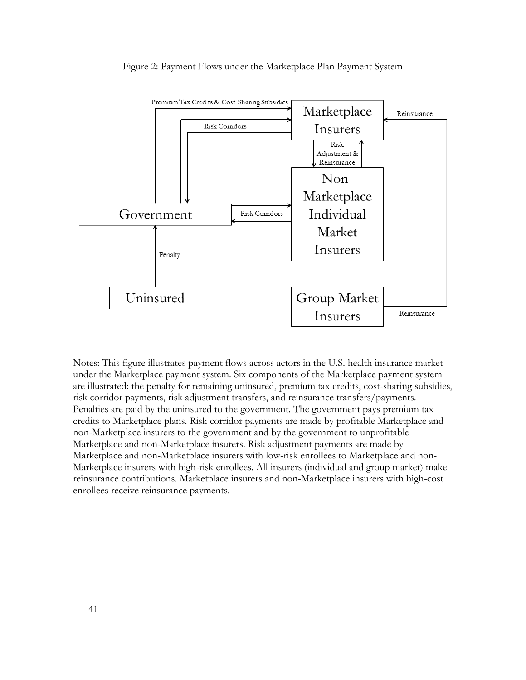

## Figure 2: Payment Flows under the Marketplace Plan Payment System

Notes: This figure illustrates payment flows across actors in the U.S. health insurance market under the Marketplace payment system. Six components of the Marketplace payment system are illustrated: the penalty for remaining uninsured, premium tax credits, cost-sharing subsidies, risk corridor payments, risk adjustment transfers, and reinsurance transfers/payments. Penalties are paid by the uninsured to the government. The government pays premium tax credits to Marketplace plans. Risk corridor payments are made by profitable Marketplace and non-Marketplace insurers to the government and by the government to unprofitable Marketplace and non-Marketplace insurers. Risk adjustment payments are made by Marketplace and non-Marketplace insurers with low-risk enrollees to Marketplace and non-Marketplace insurers with high-risk enrollees. All insurers (individual and group market) make reinsurance contributions. Marketplace insurers and non-Marketplace insurers with high-cost enrollees receive reinsurance payments.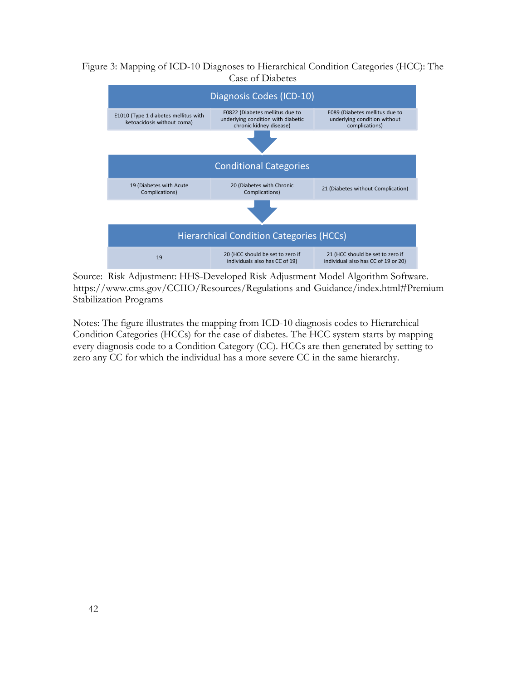# Figure 3: Mapping of ICD-10 Diagnoses to Hierarchical Condition Categories (HCC): The Case of Diabetes



Source: Risk Adjustment: HHS-Developed Risk Adjustment Model Algorithm Software. https://www.cms.gov/CCIIO/Resources/Regulations-and-Guidance/index.html#Premium Stabilization Programs

Notes: The figure illustrates the mapping from ICD-10 diagnosis codes to Hierarchical Condition Categories (HCCs) for the case of diabetes. The HCC system starts by mapping every diagnosis code to a Condition Category (CC). HCCs are then generated by setting to zero any CC for which the individual has a more severe CC in the same hierarchy.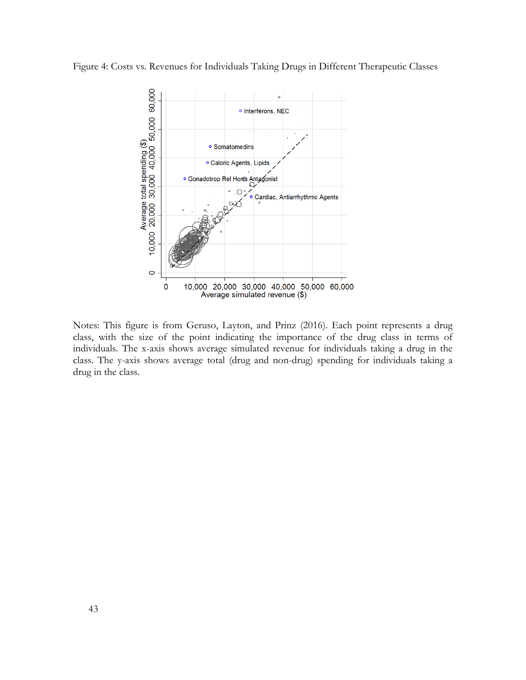Figure 4: Costs vs. Revenues for Individuals Taking Drugs in Different Therapeutic Classes



Notes: This figure is from Geruso, Layton, and Prinz (2016). Each point represents a drug class, with the size of the point indicating the importance of the drug class in terms of individuals. The x-axis shows average simulated revenue for individuals taking a drug in the class. The y-axis shows average total (drug and non-drug) spending for individuals taking a drug in the class.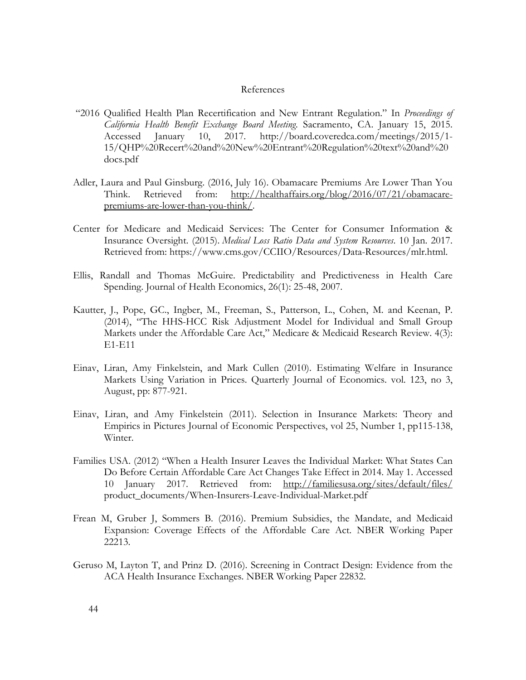### References

- "2016 Qualified Health Plan Recertification and New Entrant Regulation." In *Proceedings of California Health Benefit Exchange Board Meeting*. Sacramento, CA. January 15, 2015. Accessed January 10, 2017. [http://board.coveredca.com/meetings/2015/1-](http://board.coveredca.com/meetings/2015/1-15/QHP%20Recert%20and%20New%20Entrant%20Regulation%20text%20and%20docs.pdf) [15/QHP%20Recert%20and%20New%20Entrant%20Regulation%20text%20and%20](http://board.coveredca.com/meetings/2015/1-15/QHP%20Recert%20and%20New%20Entrant%20Regulation%20text%20and%20docs.pdf) [docs.pdf](http://board.coveredca.com/meetings/2015/1-15/QHP%20Recert%20and%20New%20Entrant%20Regulation%20text%20and%20docs.pdf)
- Adler, Laura and Paul Ginsburg. (2016, July 16). Obamacare Premiums Are Lower Than You Think. Retrieved from: [http://healthaffairs.org/blog/2016/07/21/obamacare](http://healthaffairs.org/blog/2016/07/21/obamacare-premiums-are-lower-than-you-think/)[premiums-are-lower-than-you-think/.](http://healthaffairs.org/blog/2016/07/21/obamacare-premiums-are-lower-than-you-think/)
- Center for Medicare and Medicaid Services: The Center for Consumer Information & Insurance Oversight. (2015). *Medical Loss Ratio Data and System Resources*. 10 Jan. 2017. Retrieved from: https://www.cms.gov/CCIIO/Resources/Data-Resources/mlr.html.
- Ellis, Randall and Thomas McGuire. Predictability and Predictiveness in Health Care Spending. Journal of Health Economics, 26(1): 25-48, 2007.
- Kautter, J., Pope, GC., Ingber, M., Freeman, S., Patterson, L., Cohen, M. and Keenan, P. (2014), "The HHS-HCC Risk Adjustment Model for Individual and Small Group Markets under the Affordable Care Act," Medicare & Medicaid Research Review. 4(3): E1-E11
- Einav, Liran, Amy Finkelstein, and Mark Cullen (2010). Estimating Welfare in Insurance Markets Using Variation in Prices. Quarterly Journal of Economics. vol. 123, no 3, August, pp: 877-921.
- Einav, Liran, and Amy Finkelstein (2011). Selection in Insurance Markets: Theory and Empirics in Pictures Journal of Economic Perspectives, vol 25, Number 1, pp115-138, Winter.
- Families USA. (2012) "When a Health Insurer Leaves the Individual Market: What States Can Do Before Certain Affordable Care Act Changes Take Effect in 2014. May 1. Accessed 10 January 2017. Retrieved from: <http://familiesusa.org/sites/default/files/> product\_documents/When-Insurers-Leave-Individual-Market.pdf
- Frean M, Gruber J, Sommers B. (2016). Premium Subsidies, the Mandate, and Medicaid Expansion: Coverage Effects of the Affordable Care Act. NBER Working Paper 22213.
- Geruso M, Layton T, and Prinz D. (2016). Screening in Contract Design: Evidence from the ACA Health Insurance Exchanges. NBER Working Paper 22832.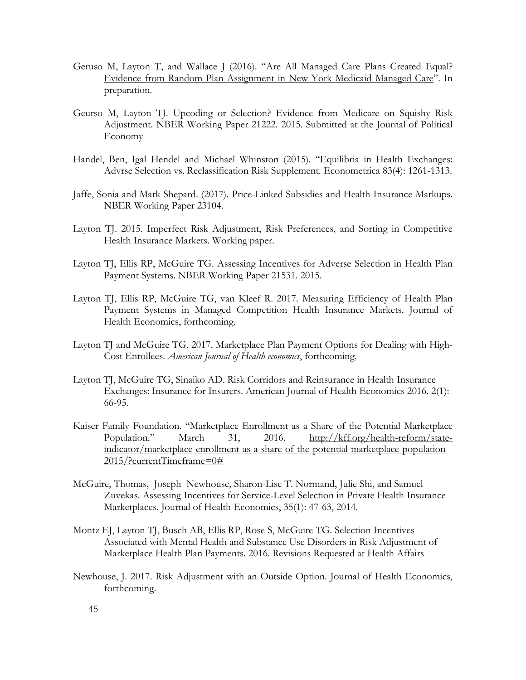- Geruso M, Layton T, and Wallace J (2016). "Are All Managed Care Plans Created Equal? [Evidence from Random Plan Assignment in New York Medicaid Managed Care"](http://scholar.harvard.edu/timothylayton/publications/are-all-managed-care-plans-created-equal-evidence-random-plan-assignment). In preparation.
- Geurso M, Layton TJ. Upcoding or Selection? Evidence from Medicare on Squishy Risk Adjustment. NBER Working Paper 21222. 2015. Submitted at the Journal of Political Economy
- Handel, Ben, Igal Hendel and Michael Whinston (2015). "Equilibria in Health Exchanges: Advrse Selection vs. Reclassification Risk Supplement. Econometrica 83(4): 1261-1313.
- Jaffe, Sonia and Mark Shepard. (2017). Price-Linked Subsidies and Health Insurance Markups. NBER Working Paper 23104.
- Layton TJ. 2015. Imperfect Risk Adjustment, Risk Preferences, and Sorting in Competitive Health Insurance Markets. Working paper.
- Layton TJ, Ellis RP, McGuire TG. Assessing Incentives for Adverse Selection in Health Plan Payment Systems. NBER Working Paper 21531. 2015.
- Layton TJ, Ellis RP, McGuire TG, van Kleef R. 2017. Measuring Efficiency of Health Plan Payment Systems in Managed Competition Health Insurance Markets. Journal of Health Economics, forthcoming.
- Layton TJ and McGuire TG. 2017. Marketplace Plan Payment Options for Dealing with High-Cost Enrollees. *American Journal of Health economics*, forthcoming.
- Layton TJ, McGuire TG, Sinaiko AD. Risk Corridors and Reinsurance in Health Insurance Exchanges: Insurance for Insurers. American Journal of Health Economics 2016. 2(1): 66-95.
- Kaiser Family Foundation. "Marketplace Enrollment as a Share of the Potential Marketplace Population." March 31, 2016. [http://kff.org/health-reform/state](http://kff.org/health-reform/state-indicator/marketplace-enrollment-as-a-share-of-the-potential-marketplace-population-2015/?currentTimeframe=0)[indicator/marketplace-enrollment-as-a-share-of-the-potential-marketplace-population-](http://kff.org/health-reform/state-indicator/marketplace-enrollment-as-a-share-of-the-potential-marketplace-population-2015/?currentTimeframe=0)[2015/?currentTimeframe=0#](http://kff.org/health-reform/state-indicator/marketplace-enrollment-as-a-share-of-the-potential-marketplace-population-2015/?currentTimeframe=0)
- McGuire, Thomas, Joseph Newhouse, Sharon-Lise T. Normand, Julie Shi, and Samuel Zuvekas. Assessing Incentives for Service-Level Selection in Private Health Insurance Marketplaces. Journal of Health Economics, 35(1): 47-63, 2014.
- Montz EJ, Layton TJ, Busch AB, Ellis RP, Rose S, McGuire TG. Selection Incentives Associated with Mental Health and Substance Use Disorders in Risk Adjustment of Marketplace Health Plan Payments. 2016. Revisions Requested at Health Affairs
- Newhouse, J. 2017. Risk Adjustment with an Outside Option. Journal of Health Economics, forthcoming.